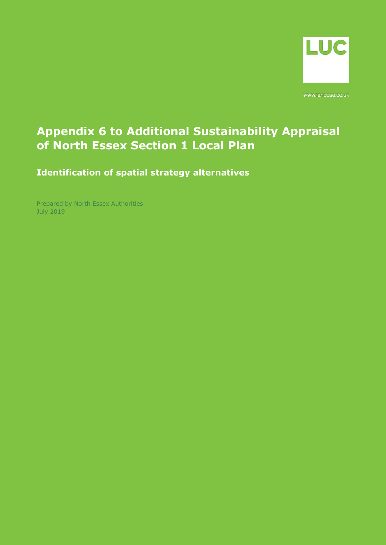

www.landuse.co.uk

## **Appendix 6 to Additional Sustainability Appraisal of North Essex Section 1 Local Plan**

**Identification of spatial strategy alternatives**

Prepared by North Essex Authorities July 2019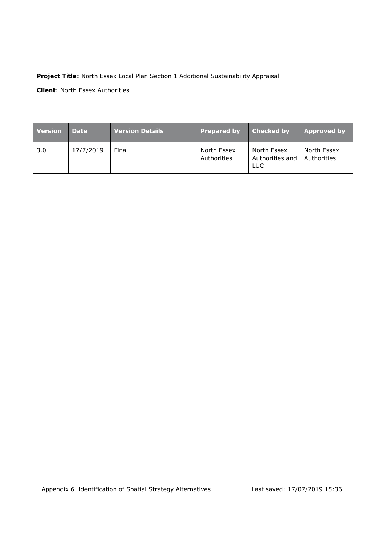## **Project Title**: North Essex Local Plan Section 1 Additional Sustainability Appraisal

**Client**: North Essex Authorities

| <b>Version</b> | <b>Date</b> | Version Details | <b>Prepared by</b>         | <b>Checked by</b>                     | <b>Approved by</b>         |
|----------------|-------------|-----------------|----------------------------|---------------------------------------|----------------------------|
| 3.0            | 17/7/2019   | Final           | North Essex<br>Authorities | North Essex<br>Authorities and<br>LUC | North Essex<br>Authorities |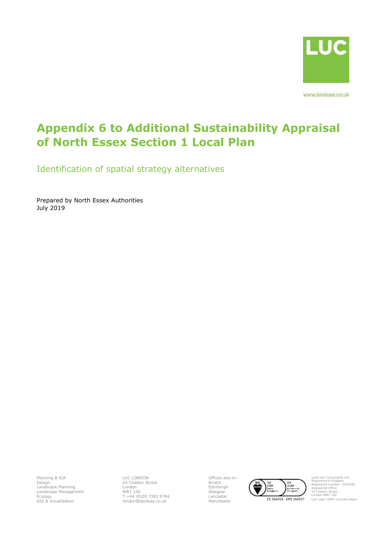

www.landuse.co.uk

# **Appendix 6 to Additional Sustainability Appraisal of North Essex Section 1 Local Plan**

Identification of spatial strategy alternatives

Prepared by North Essex Authorities July 2019

Planning & EIA Design Landscape Planning Landscape Management Ecology GIS & Visualisation LUC LONDON 43 Chalton Street London NW1 1JD T +44 (0)20 7383 5784 london@landuse.co.uk Offices also in: Bristol Edinburgh Glasgow Lancaster



Land Use Consultants Ltd Registered in England Registered number: 2549296 Registered Office: 43 Chalton Street London NW1 1JD LUC uses 100% recycled paper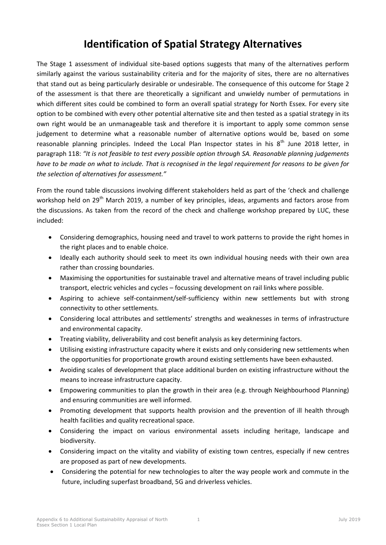## **Identification of Spatial Strategy Alternatives**

The Stage 1 assessment of individual site-based options suggests that many of the alternatives perform similarly against the various sustainability criteria and for the majority of sites, there are no alternatives that stand out as being particularly desirable or undesirable. The consequence of this outcome for Stage 2 of the assessment is that there are theoretically a significant and unwieldy number of permutations in which different sites could be combined to form an overall spatial strategy for North Essex. For every site option to be combined with every other potential alternative site and then tested as a spatial strategy in its own right would be an unmanageable task and therefore it is important to apply some common sense judgement to determine what a reasonable number of alternative options would be, based on some reasonable planning principles. Indeed the Local Plan Inspector states in his  $8<sup>th</sup>$  June 2018 letter, in paragraph 118: *"It is not feasible to test every possible option through SA. Reasonable planning judgements have to be made on what to include. That is recognised in the legal requirement for reasons to be given for the selection of alternatives for assessment."*

From the round table discussions involving different stakeholders held as part of the 'check and challenge workshop held on 29<sup>th</sup> March 2019, a number of key principles, ideas, arguments and factors arose from the discussions. As taken from the record of the check and challenge workshop prepared by LUC, these included:

- Considering demographics, housing need and travel to work patterns to provide the right homes in the right places and to enable choice.
- Ideally each authority should seek to meet its own individual housing needs with their own area rather than crossing boundaries.
- Maximising the opportunities for sustainable travel and alternative means of travel including public transport, electric vehicles and cycles – focussing development on rail links where possible.
- Aspiring to achieve self-containment/self-sufficiency within new settlements but with strong connectivity to other settlements.
- Considering local attributes and settlements' strengths and weaknesses in terms of infrastructure and environmental capacity.
- Treating viability, deliverability and cost benefit analysis as key determining factors.
- Utilising existing infrastructure capacity where it exists and only considering new settlements when the opportunities for proportionate growth around existing settlements have been exhausted.
- Avoiding scales of development that place additional burden on existing infrastructure without the means to increase infrastructure capacity.
- Empowering communities to plan the growth in their area (e.g. through Neighbourhood Planning) and ensuring communities are well informed.
- Promoting development that supports health provision and the prevention of ill health through health facilities and quality recreational space.
- Considering the impact on various environmental assets including heritage, landscape and biodiversity.
- Considering impact on the vitality and viability of existing town centres, especially if new centres are proposed as part of new developments.
- Considering the potential for new technologies to alter the way people work and commute in the future, including superfast broadband, 5G and driverless vehicles.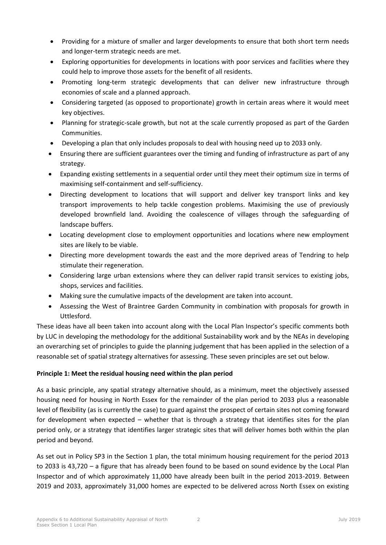- Providing for a mixture of smaller and larger developments to ensure that both short term needs and longer-term strategic needs are met.
- Exploring opportunities for developments in locations with poor services and facilities where they could help to improve those assets for the benefit of all residents.
- Promoting long-term strategic developments that can deliver new infrastructure through economies of scale and a planned approach.
- Considering targeted (as opposed to proportionate) growth in certain areas where it would meet key objectives.
- Planning for strategic-scale growth, but not at the scale currently proposed as part of the Garden Communities.
- Developing a plan that only includes proposals to deal with housing need up to 2033 only.
- Ensuring there are sufficient guarantees over the timing and funding of infrastructure as part of any strategy.
- Expanding existing settlements in a sequential order until they meet their optimum size in terms of maximising self-containment and self-sufficiency.
- Directing development to locations that will support and deliver key transport links and key transport improvements to help tackle congestion problems. Maximising the use of previously developed brownfield land. Avoiding the coalescence of villages through the safeguarding of landscape buffers.
- Locating development close to employment opportunities and locations where new employment sites are likely to be viable.
- Directing more development towards the east and the more deprived areas of Tendring to help stimulate their regeneration.
- Considering large urban extensions where they can deliver rapid transit services to existing jobs, shops, services and facilities.
- Making sure the cumulative impacts of the development are taken into account.
- Assessing the West of Braintree Garden Community in combination with proposals for growth in Uttlesford.

These ideas have all been taken into account along with the Local Plan Inspector's specific comments both by LUC in developing the methodology for the additional Sustainability work and by the NEAs in developing an overarching set of principles to guide the planning judgement that has been applied in the selection of a reasonable set of spatial strategy alternatives for assessing. These seven principles are set out below.

## **Principle 1: Meet the residual housing need within the plan period**

As a basic principle, any spatial strategy alternative should, as a minimum, meet the objectively assessed housing need for housing in North Essex for the remainder of the plan period to 2033 plus a reasonable level of flexibility (as is currently the case) to guard against the prospect of certain sites not coming forward for development when expected – whether that is through a strategy that identifies sites for the plan period only, or a strategy that identifies larger strategic sites that will deliver homes both within the plan period and beyond.

As set out in Policy SP3 in the Section 1 plan, the total minimum housing requirement for the period 2013 to 2033 is 43,720 – a figure that has already been found to be based on sound evidence by the Local Plan Inspector and of which approximately 11,000 have already been built in the period 2013-2019. Between 2019 and 2033, approximately 31,000 homes are expected to be delivered across North Essex on existing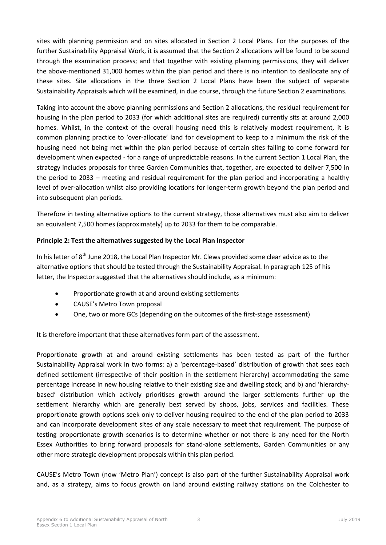sites with planning permission and on sites allocated in Section 2 Local Plans. For the purposes of the further Sustainability Appraisal Work, it is assumed that the Section 2 allocations will be found to be sound through the examination process; and that together with existing planning permissions, they will deliver the above-mentioned 31,000 homes within the plan period and there is no intention to deallocate any of these sites. Site allocations in the three Section 2 Local Plans have been the subject of separate Sustainability Appraisals which will be examined, in due course, through the future Section 2 examinations.

Taking into account the above planning permissions and Section 2 allocations, the residual requirement for housing in the plan period to 2033 (for which additional sites are required) currently sits at around 2,000 homes. Whilst, in the context of the overall housing need this is relatively modest requirement, it is common planning practice to 'over-allocate' land for development to keep to a minimum the risk of the housing need not being met within the plan period because of certain sites failing to come forward for development when expected - for a range of unpredictable reasons. In the current Section 1 Local Plan, the strategy includes proposals for three Garden Communities that, together, are expected to deliver 7,500 in the period to 2033 – meeting and residual requirement for the plan period and incorporating a healthy level of over-allocation whilst also providing locations for longer-term growth beyond the plan period and into subsequent plan periods.

Therefore in testing alternative options to the current strategy, those alternatives must also aim to deliver an equivalent 7,500 homes (approximately) up to 2033 for them to be comparable.

## **Principle 2: Test the alternatives suggested by the Local Plan Inspector**

In his letter of 8<sup>th</sup> June 2018, the Local Plan Inspector Mr. Clews provided some clear advice as to the alternative options that should be tested through the Sustainability Appraisal. In paragraph 125 of his letter, the Inspector suggested that the alternatives should include, as a minimum:

- Proportionate growth at and around existing settlements
- CAUSE's Metro Town proposal
- One, two or more GCs (depending on the outcomes of the first-stage assessment)

It is therefore important that these alternatives form part of the assessment.

Proportionate growth at and around existing settlements has been tested as part of the further Sustainability Appraisal work in two forms: a) a 'percentage-based' distribution of growth that sees each defined settlement (irrespective of their position in the settlement hierarchy) accommodating the same percentage increase in new housing relative to their existing size and dwelling stock; and b) and 'hierarchybased' distribution which actively prioritises growth around the larger settlements further up the settlement hierarchy which are generally best served by shops, jobs, services and facilities. These proportionate growth options seek only to deliver housing required to the end of the plan period to 2033 and can incorporate development sites of any scale necessary to meet that requirement. The purpose of testing proportionate growth scenarios is to determine whether or not there is any need for the North Essex Authorities to bring forward proposals for stand-alone settlements, Garden Communities or any other more strategic development proposals within this plan period.

CAUSE's Metro Town (now 'Metro Plan') concept is also part of the further Sustainability Appraisal work and, as a strategy, aims to focus growth on land around existing railway stations on the Colchester to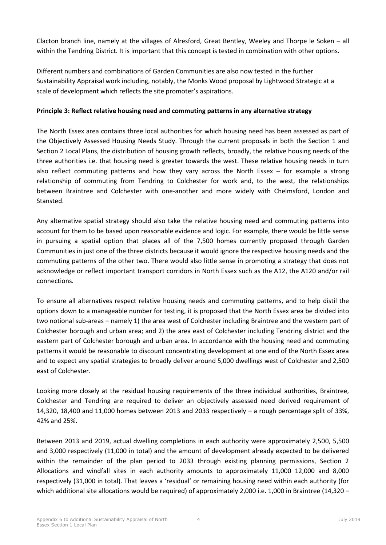Clacton branch line, namely at the villages of Alresford, Great Bentley, Weeley and Thorpe le Soken – all within the Tendring District. It is important that this concept is tested in combination with other options.

Different numbers and combinations of Garden Communities are also now tested in the further Sustainability Appraisal work including, notably, the Monks Wood proposal by Lightwood Strategic at a scale of development which reflects the site promoter's aspirations.

## **Principle 3: Reflect relative housing need and commuting patterns in any alternative strategy**

The North Essex area contains three local authorities for which housing need has been assessed as part of the Objectively Assessed Housing Needs Study. Through the current proposals in both the Section 1 and Section 2 Local Plans, the distribution of housing growth reflects, broadly, the relative housing needs of the three authorities i.e. that housing need is greater towards the west. These relative housing needs in turn also reflect commuting patterns and how they vary across the North Essex – for example a strong relationship of commuting from Tendring to Colchester for work and, to the west, the relationships between Braintree and Colchester with one-another and more widely with Chelmsford, London and Stansted.

Any alternative spatial strategy should also take the relative housing need and commuting patterns into account for them to be based upon reasonable evidence and logic. For example, there would be little sense in pursuing a spatial option that places all of the 7,500 homes currently proposed through Garden Communities in just one of the three districts because it would ignore the respective housing needs and the commuting patterns of the other two. There would also little sense in promoting a strategy that does not acknowledge or reflect important transport corridors in North Essex such as the A12, the A120 and/or rail connections.

To ensure all alternatives respect relative housing needs and commuting patterns, and to help distil the options down to a manageable number for testing, it is proposed that the North Essex area be divided into two notional sub-areas – namely 1) the area west of Colchester including Braintree and the western part of Colchester borough and urban area; and 2) the area east of Colchester including Tendring district and the eastern part of Colchester borough and urban area. In accordance with the housing need and commuting patterns it would be reasonable to discount concentrating development at one end of the North Essex area and to expect any spatial strategies to broadly deliver around 5,000 dwellings west of Colchester and 2,500 east of Colchester.

Looking more closely at the residual housing requirements of the three individual authorities, Braintree, Colchester and Tendring are required to deliver an objectively assessed need derived requirement of 14,320, 18,400 and 11,000 homes between 2013 and 2033 respectively – a rough percentage split of 33%, 42% and 25%.

Between 2013 and 2019, actual dwelling completions in each authority were approximately 2,500, 5,500 and 3,000 respectively (11,000 in total) and the amount of development already expected to be delivered within the remainder of the plan period to 2033 through existing planning permissions, Section 2 Allocations and windfall sites in each authority amounts to approximately 11,000 12,000 and 8,000 respectively (31,000 in total). That leaves a 'residual' or remaining housing need within each authority (for which additional site allocations would be required) of approximately 2,000 i.e. 1,000 in Braintree (14,320 –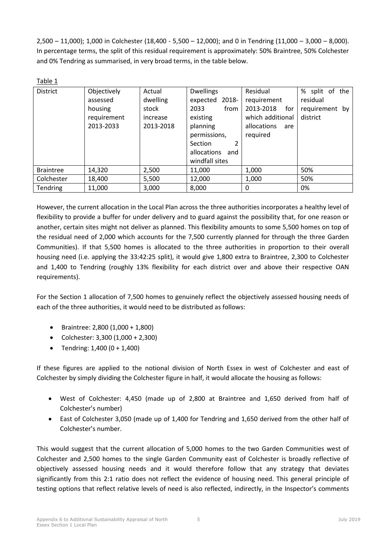2,500 – 11,000); 1,000 in Colchester (18,400 - 5,500 – 12,000); and 0 in Tendring (11,000 – 3,000 – 8,000). In percentage terms, the split of this residual requirement is approximately: 50% Braintree, 50% Colchester and 0% Tendring as summarised, in very broad terms, in the table below.

| Table 1          |                                                                |                                                      |                                                                                                                                                              |                                                                                                   |                                                          |
|------------------|----------------------------------------------------------------|------------------------------------------------------|--------------------------------------------------------------------------------------------------------------------------------------------------------------|---------------------------------------------------------------------------------------------------|----------------------------------------------------------|
| <b>District</b>  | Objectively<br>assessed<br>housing<br>requirement<br>2013-2033 | Actual<br>dwelling<br>stock<br>increase<br>2013-2018 | <b>Dwellings</b><br>2018-<br>expected<br>from<br>2033<br>existing<br>planning<br>permissions,<br>2<br><b>Section</b><br>allocations<br>and<br>windfall sites | Residual<br>requirement<br>2013-2018<br>for<br>which additional<br>allocations<br>are<br>required | % split of the<br>residual<br>requirement by<br>district |
| <b>Braintree</b> | 14,320                                                         | 2,500                                                | 11,000                                                                                                                                                       | 1,000                                                                                             | 50%                                                      |
| Colchester       | 18,400                                                         | 5,500                                                | 12,000                                                                                                                                                       | 1,000                                                                                             | 50%                                                      |
| Tendring         | 11,000                                                         | 3,000                                                | 8,000                                                                                                                                                        | 0                                                                                                 | 0%                                                       |

However, the current allocation in the Local Plan across the three authorities incorporates a healthy level of flexibility to provide a buffer for under delivery and to guard against the possibility that, for one reason or another, certain sites might not deliver as planned. This flexibility amounts to some 5,500 homes on top of the residual need of 2,000 which accounts for the 7,500 currently planned for through the three Garden Communities). If that 5,500 homes is allocated to the three authorities in proportion to their overall housing need (i.e. applying the 33:42:25 split), it would give 1,800 extra to Braintree, 2,300 to Colchester and 1,400 to Tendring (roughly 13% flexibility for each district over and above their respective OAN requirements).

For the Section 1 allocation of 7,500 homes to genuinely reflect the objectively assessed housing needs of each of the three authorities, it would need to be distributed as follows:

- Braintree: 2,800 (1,000 + 1,800)
- Colchester: 3,300 (1,000 + 2,300)
- Tendring:  $1,400 (0 + 1,400)$

If these figures are applied to the notional division of North Essex in west of Colchester and east of Colchester by simply dividing the Colchester figure in half, it would allocate the housing as follows:

- West of Colchester: 4,450 (made up of 2,800 at Braintree and 1,650 derived from half of Colchester's number)
- East of Colchester 3,050 (made up of 1,400 for Tendring and 1,650 derived from the other half of Colchester's number.

This would suggest that the current allocation of 5,000 homes to the two Garden Communities west of Colchester and 2,500 homes to the single Garden Community east of Colchester is broadly reflective of objectively assessed housing needs and it would therefore follow that any strategy that deviates significantly from this 2:1 ratio does not reflect the evidence of housing need. This general principle of testing options that reflect relative levels of need is also reflected, indirectly, in the Inspector's comments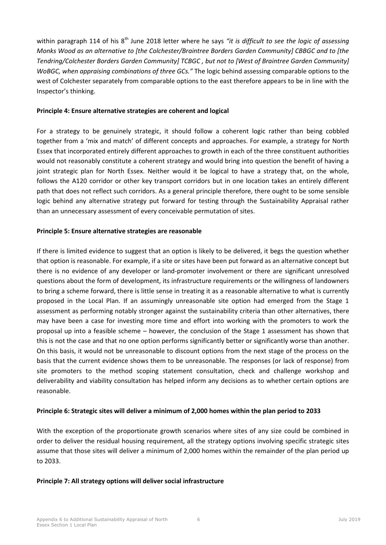within paragraph 114 of his 8<sup>th</sup> June 2018 letter where he says "it is difficult to see the logic of assessing *Monks Wood as an alternative to [the Colchester/Braintree Borders Garden Community] CBBGC and to [the Tendring/Colchester Borders Garden Community] TCBGC , but not to [West of Braintree Garden Community] WoBGC, when appraising combinations of three GCs."* The logic behind assessing comparable options to the west of Colchester separately from comparable options to the east therefore appears to be in line with the Inspector's thinking.

#### **Principle 4: Ensure alternative strategies are coherent and logical**

For a strategy to be genuinely strategic, it should follow a coherent logic rather than being cobbled together from a 'mix and match' of different concepts and approaches. For example, a strategy for North Essex that incorporated entirely different approaches to growth in each of the three constituent authorities would not reasonably constitute a coherent strategy and would bring into question the benefit of having a joint strategic plan for North Essex. Neither would it be logical to have a strategy that, on the whole, follows the A120 corridor or other key transport corridors but in one location takes an entirely different path that does not reflect such corridors. As a general principle therefore, there ought to be some sensible logic behind any alternative strategy put forward for testing through the Sustainability Appraisal rather than an unnecessary assessment of every conceivable permutation of sites.

## **Principle 5: Ensure alternative strategies are reasonable**

If there is limited evidence to suggest that an option is likely to be delivered, it begs the question whether that option is reasonable. For example, if a site or sites have been put forward as an alternative concept but there is no evidence of any developer or land-promoter involvement or there are significant unresolved questions about the form of development, its infrastructure requirements or the willingness of landowners to bring a scheme forward, there is little sense in treating it as a reasonable alternative to what is currently proposed in the Local Plan. If an assumingly unreasonable site option had emerged from the Stage 1 assessment as performing notably stronger against the sustainability criteria than other alternatives, there may have been a case for investing more time and effort into working with the promoters to work the proposal up into a feasible scheme – however, the conclusion of the Stage 1 assessment has shown that this is not the case and that no one option performs significantly better or significantly worse than another. On this basis, it would not be unreasonable to discount options from the next stage of the process on the basis that the current evidence shows them to be unreasonable. The responses (or lack of response) from site promoters to the method scoping statement consultation, check and challenge workshop and deliverability and viability consultation has helped inform any decisions as to whether certain options are reasonable.

#### **Principle 6: Strategic sites will deliver a minimum of 2,000 homes within the plan period to 2033**

With the exception of the proportionate growth scenarios where sites of any size could be combined in order to deliver the residual housing requirement, all the strategy options involving specific strategic sites assume that those sites will deliver a minimum of 2,000 homes within the remainder of the plan period up to 2033.

#### **Principle 7: All strategy options will deliver social infrastructure**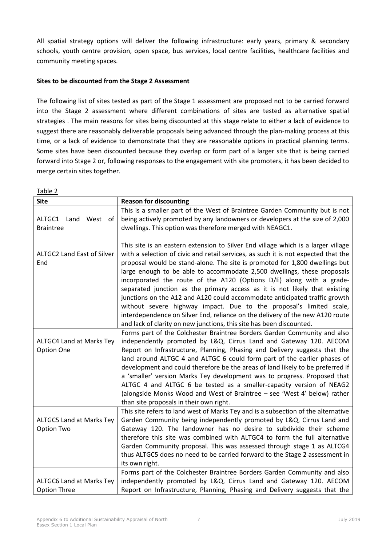All spatial strategy options will deliver the following infrastructure: early years, primary & secondary schools, youth centre provision, open space, bus services, local centre facilities, healthcare facilities and community meeting spaces.

## **Sites to be discounted from the Stage 2 Assessment**

The following list of sites tested as part of the Stage 1 assessment are proposed not to be carried forward into the Stage 2 assessment where different combinations of sites are tested as alternative spatial strategies . The main reasons for sites being discounted at this stage relate to either a lack of evidence to suggest there are reasonably deliverable proposals being advanced through the plan-making process at this time, or a lack of evidence to demonstrate that they are reasonable options in practical planning terms. Some sites have been discounted because they overlap or form part of a larger site that is being carried forward into Stage 2 or, following responses to the engagement with site promoters, it has been decided to merge certain sites together.

| <b>Site</b>                                     | <b>Reason for discounting</b>                                                                                                                                                                                                                                                                                                                                                                                                                                                                                                                                                                                                                                                                                                                                                                         |
|-------------------------------------------------|-------------------------------------------------------------------------------------------------------------------------------------------------------------------------------------------------------------------------------------------------------------------------------------------------------------------------------------------------------------------------------------------------------------------------------------------------------------------------------------------------------------------------------------------------------------------------------------------------------------------------------------------------------------------------------------------------------------------------------------------------------------------------------------------------------|
| ALTGC1 Land West of<br><b>Braintree</b>         | This is a smaller part of the West of Braintree Garden Community but is not<br>being actively promoted by any landowners or developers at the size of 2,000<br>dwellings. This option was therefore merged with NEAGC1.                                                                                                                                                                                                                                                                                                                                                                                                                                                                                                                                                                               |
| ALTGC2 Land East of Silver<br>End               | This site is an eastern extension to Silver End village which is a larger village<br>with a selection of civic and retail services, as such it is not expected that the<br>proposal would be stand-alone. The site is promoted for 1,800 dwellings but<br>large enough to be able to accommodate 2,500 dwellings, these proposals<br>incorporated the route of the A120 (Options D/E) along with a grade-<br>separated junction as the primary access as it is not likely that existing<br>junctions on the A12 and A120 could accommodate anticipated traffic growth<br>without severe highway impact. Due to the proposal's limited scale,<br>interdependence on Silver End, reliance on the delivery of the new A120 route<br>and lack of clarity on new junctions, this site has been discounted. |
| ALTGC4 Land at Marks Tey<br>Option One          | Forms part of the Colchester Braintree Borders Garden Community and also<br>independently promoted by L&Q, Cirrus Land and Gateway 120. AECOM<br>Report on Infrastructure, Planning, Phasing and Delivery suggests that the<br>land around ALTGC 4 and ALTGC 6 could form part of the earlier phases of<br>development and could therefore be the areas of land likely to be preferred if<br>a 'smaller' version Marks Tey development was to progress. Proposed that<br>ALTGC 4 and ALTGC 6 be tested as a smaller-capacity version of NEAG2<br>(alongside Monks Wood and West of Braintree - see 'West 4' below) rather<br>than site proposals in their own right.                                                                                                                                  |
| ALTGC5 Land at Marks Tey<br>Option Two          | This site refers to land west of Marks Tey and is a subsection of the alternative<br>Garden Community being independently promoted by L&Q, Cirrus Land and<br>Gateway 120. The landowner has no desire to subdivide their scheme<br>therefore this site was combined with ALTGC4 to form the full alternative<br>Garden Community proposal. This was assessed through stage 1 as ALTCG4<br>thus ALTGC5 does no need to be carried forward to the Stage 2 assessment in<br>its own right.                                                                                                                                                                                                                                                                                                              |
| ALTGC6 Land at Marks Tey<br><b>Option Three</b> | Forms part of the Colchester Braintree Borders Garden Community and also<br>independently promoted by L&Q, Cirrus Land and Gateway 120. AECOM<br>Report on Infrastructure, Planning, Phasing and Delivery suggests that the                                                                                                                                                                                                                                                                                                                                                                                                                                                                                                                                                                           |

Table 2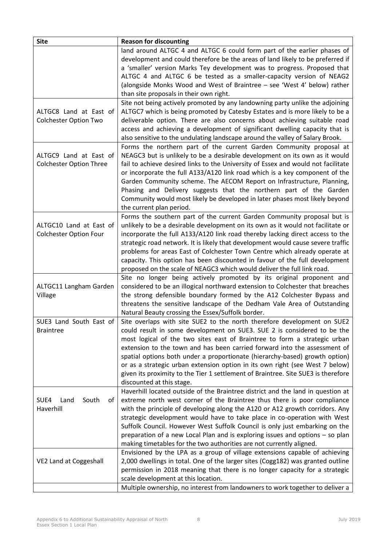| <b>Site</b>                                              | <b>Reason for discounting</b>                                                                                                                                                                                                                                                                                                                                                                                                                                                                                                                                                                 |
|----------------------------------------------------------|-----------------------------------------------------------------------------------------------------------------------------------------------------------------------------------------------------------------------------------------------------------------------------------------------------------------------------------------------------------------------------------------------------------------------------------------------------------------------------------------------------------------------------------------------------------------------------------------------|
|                                                          | land around ALTGC 4 and ALTGC 6 could form part of the earlier phases of<br>development and could therefore be the areas of land likely to be preferred if<br>a 'smaller' version Marks Tey development was to progress. Proposed that<br>ALTGC 4 and ALTGC 6 be tested as a smaller-capacity version of NEAG2<br>(alongside Monks Wood and West of Braintree - see 'West 4' below) rather<br>than site proposals in their own right.                                                                                                                                                         |
| ALTGC8 Land at East of<br><b>Colchester Option Two</b>   | Site not being actively promoted by any landowning party unlike the adjoining<br>ALTGC7 which is being promoted by Catesby Estates and is more likely to be a<br>deliverable option. There are also concerns about achieving suitable road<br>access and achieving a development of significant dwelling capacity that is<br>also sensitive to the undulating landscape around the valley of Salary Brook.                                                                                                                                                                                    |
| ALTGC9 Land at East of<br><b>Colchester Option Three</b> | Forms the northern part of the current Garden Community proposal at<br>NEAGC3 but is unlikely to be a desirable development on its own as it would<br>fail to achieve desired links to the University of Essex and would not facilitate<br>or incorporate the full A133/A120 link road which is a key component of the<br>Garden Community scheme. The AECOM Report on Infrastructure, Planning,<br>Phasing and Delivery suggests that the northern part of the Garden<br>Community would most likely be developed in later phases most likely beyond<br>the current plan period.             |
| ALTGC10 Land at East of<br><b>Colchester Option Four</b> | Forms the southern part of the current Garden Community proposal but is<br>unlikely to be a desirable development on its own as it would not facilitate or<br>incorporate the full A133/A120 link road thereby lacking direct access to the<br>strategic road network. It is likely that development would cause severe traffic<br>problems for areas East of Colchester Town Centre which already operate at<br>capacity. This option has been discounted in favour of the full development<br>proposed on the scale of NEAGC3 which would deliver the full link road.                       |
| ALTGC11 Langham Garden<br>Village                        | Site no longer being actively promoted by its original proponent and<br>considered to be an illogical northward extension to Colchester that breaches<br>the strong defensible boundary formed by the A12 Colchester Bypass and<br>threatens the sensitive landscape of the Dedham Vale Area of Outstanding<br>Natural Beauty crossing the Essex/Suffolk border.                                                                                                                                                                                                                              |
| SUE3 Land South East of<br><b>Braintree</b>              | Site overlaps with site SUE2 to the north therefore development on SUE2<br>could result in some development on SUE3. SUE 2 is considered to be the<br>most logical of the two sites east of Braintree to form a strategic urban<br>extension to the town and has been carried forward into the assessment of<br>spatial options both under a proportionate (hierarchy-based) growth option)<br>or as a strategic urban extension option in its own right (see West 7 below)<br>given its proximity to the Tier 1 settlement of Braintree. Site SUE3 is therefore<br>discounted at this stage. |
| SUE4<br>South<br>Land<br>of<br>Haverhill                 | Haverhill located outside of the Braintree district and the land in question at<br>extreme north west corner of the Braintree thus there is poor compliance<br>with the principle of developing along the A120 or A12 growth corridors. Any<br>strategic development would have to take place in co-operation with West<br>Suffolk Council. However West Suffolk Council is only just embarking on the<br>preparation of a new Local Plan and is exploring issues and options - so plan<br>making timetables for the two authorities are not currently aligned.                               |
| VE2 Land at Coggeshall                                   | Envisioned by the LPA as a group of village extensions capable of achieving<br>2,000 dwellings in total. One of the larger sites (Cogg182) was granted outline<br>permission in 2018 meaning that there is no longer capacity for a strategic<br>scale development at this location.<br>Multiple ownership, no interest from landowners to work together to deliver a                                                                                                                                                                                                                         |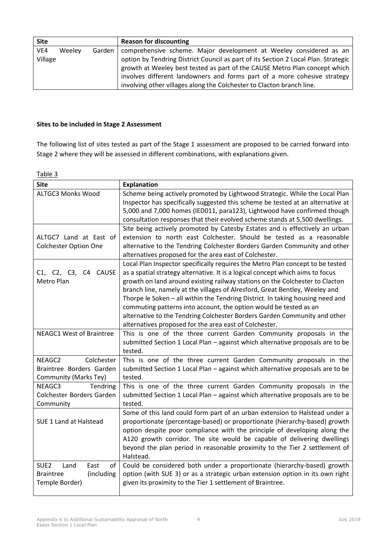| <b>Site</b> |        |        | <b>Reason for discounting</b>                                                      |
|-------------|--------|--------|------------------------------------------------------------------------------------|
| VE4         | Weeley | Garden | comprehensive scheme. Major development at Weeley considered as an                 |
| Village     |        |        | option by Tendring District Council as part of its Section 2 Local Plan. Strategic |
|             |        |        | growth at Weeley best tested as part of the CAUSE Metro Plan concept which         |
|             |        |        | involves different landowners and forms part of a more cohesive strategy           |
|             |        |        | involving other villages along the Colchester to Clacton branch line.              |

## **Sites to be included in Stage 2 Assessment**

The following list of sites tested as part of the Stage 1 assessment are proposed to be carried forward into Stage 2 where they will be assessed in different combinations, with explanations given.

Table 3

| <b>Site</b>                            | <b>Explanation</b>                                                              |  |  |  |  |
|----------------------------------------|---------------------------------------------------------------------------------|--|--|--|--|
| <b>ALTGC3 Monks Wood</b>               | Scheme being actively promoted by Lightwood Strategic. While the Local Plan     |  |  |  |  |
|                                        | Inspector has specifically suggested this scheme be tested at an alternative at |  |  |  |  |
|                                        | 5,000 and 7,000 homes (IED011, para123), Lightwood have confirmed though        |  |  |  |  |
|                                        | consultation responses that their evolved scheme stands at 5,500 dwellings.     |  |  |  |  |
|                                        | Site being actively promoted by Catesby Estates and is effectively an urban     |  |  |  |  |
| ALTGC7 Land at East of                 | extension to north east Colchester. Should be tested as a reasonable            |  |  |  |  |
| <b>Colchester Option One</b>           | alternative to the Tendring Colchester Borders Garden Community and other       |  |  |  |  |
|                                        | alternatives proposed for the area east of Colchester.                          |  |  |  |  |
|                                        | Local Plan Inspector specifically requires the Metro Plan concept to be tested  |  |  |  |  |
| C4 CAUSE<br>C1, C2, C3,                | as a spatial strategy alternative. It is a logical concept which aims to focus  |  |  |  |  |
| Metro Plan                             | growth on land around existing railway stations on the Colchester to Clacton    |  |  |  |  |
|                                        | branch line, namely at the villages of Alresford, Great Bentley, Weeley and     |  |  |  |  |
|                                        | Thorpe le Soken - all within the Tendring District. In taking housing need and  |  |  |  |  |
|                                        | commuting patterns into account, the option would be tested as an               |  |  |  |  |
|                                        | alternative to the Tendring Colchester Borders Garden Community and other       |  |  |  |  |
|                                        | alternatives proposed for the area east of Colchester.                          |  |  |  |  |
| <b>NEAGC1 West of Braintree</b>        | This is one of the three current Garden Community proposals in the              |  |  |  |  |
|                                        | submitted Section 1 Local Plan - against which alternative proposals are to be  |  |  |  |  |
| Colchester<br>NEAGC2                   | tested.<br>This is one of the three current Garden Community proposals in the   |  |  |  |  |
| Braintree Borders Garden               | submitted Section 1 Local Plan - against which alternative proposals are to be  |  |  |  |  |
| Community (Marks Tey)                  | tested.                                                                         |  |  |  |  |
| NEAGC3<br>Tendring                     | This is one of the three current Garden Community proposals in the              |  |  |  |  |
| Colchester Borders Garden              | submitted Section 1 Local Plan - against which alternative proposals are to be  |  |  |  |  |
| Community                              | tested.                                                                         |  |  |  |  |
|                                        | Some of this land could form part of an urban extension to Halstead under a     |  |  |  |  |
| SUE 1 Land at Halstead                 | proportionate (percentage-based) or proportionate (hierarchy-based) growth      |  |  |  |  |
|                                        | option despite poor compliance with the principle of developing along the       |  |  |  |  |
|                                        | A120 growth corridor. The site would be capable of delivering dwellings         |  |  |  |  |
|                                        | beyond the plan period in reasonable proximity to the Tier 2 settlement of      |  |  |  |  |
|                                        | Halstead.                                                                       |  |  |  |  |
| SUE <sub>2</sub><br>Land<br>East<br>of | Could be considered both under a proportionate (hierarchy-based) growth         |  |  |  |  |
| <b>Braintree</b><br>(including         | option (with SUE 3) or as a strategic urban extension option in its own right   |  |  |  |  |
| Temple Border)                         | given its proximity to the Tier 1 settlement of Braintree.                      |  |  |  |  |
|                                        |                                                                                 |  |  |  |  |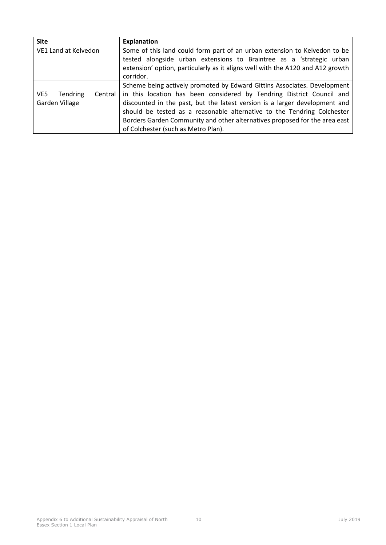| <b>Site</b>                       | <b>Explanation</b>                                                             |  |  |
|-----------------------------------|--------------------------------------------------------------------------------|--|--|
| VE1 Land at Kelvedon              | Some of this land could form part of an urban extension to Kelvedon to be      |  |  |
|                                   | tested alongside urban extensions to Braintree as a 'strategic urban           |  |  |
|                                   | extension' option, particularly as it aligns well with the A120 and A12 growth |  |  |
|                                   | corridor.                                                                      |  |  |
|                                   | Scheme being actively promoted by Edward Gittins Associates. Development       |  |  |
| VE5<br><b>Tendring</b><br>Central | in this location has been considered by Tendring District Council and          |  |  |
| Garden Village                    | discounted in the past, but the latest version is a larger development and     |  |  |
|                                   | should be tested as a reasonable alternative to the Tendring Colchester        |  |  |
|                                   | Borders Garden Community and other alternatives proposed for the area east     |  |  |
|                                   | of Colchester (such as Metro Plan).                                            |  |  |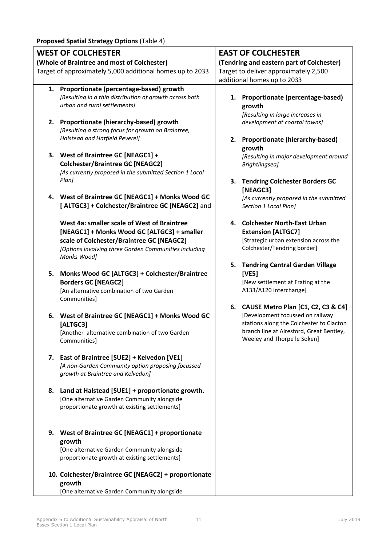| <b>WEST OF COLCHESTER</b> |                                                                                                                                                                                                                 |    | <b>EAST OF COLCHESTER</b>                                                                                                                                                                        |  |  |
|---------------------------|-----------------------------------------------------------------------------------------------------------------------------------------------------------------------------------------------------------------|----|--------------------------------------------------------------------------------------------------------------------------------------------------------------------------------------------------|--|--|
|                           | (Whole of Braintree and most of Colchester)                                                                                                                                                                     |    | (Tendring and eastern part of Colchester)                                                                                                                                                        |  |  |
|                           | Target of approximately 5,000 additional homes up to 2033                                                                                                                                                       |    | Target to deliver approximately 2,500                                                                                                                                                            |  |  |
|                           |                                                                                                                                                                                                                 |    | additional homes up to 2033                                                                                                                                                                      |  |  |
| 1.                        | Proportionate (percentage-based) growth<br>[Resulting in a thin distribution of growth across both<br>urban and rural settlements]                                                                              | 1. | Proportionate (percentage-based)<br>growth<br>[Resulting in large increases in                                                                                                                   |  |  |
| 2.                        | Proportionate (hierarchy-based) growth<br>[Resulting a strong focus for growth on Braintree,<br>Halstead and Hatfield Peverel]                                                                                  | 2. | development at coastal towns]<br>Proportionate (hierarchy-based)                                                                                                                                 |  |  |
|                           | 3. West of Braintree GC [NEAGC1] +<br><b>Colchester/Braintree GC [NEAGC2]</b><br>[As currently proposed in the submitted Section 1 Local<br>Plan]                                                               |    | growth<br>[Resulting in major development around<br>Brightlingsea]                                                                                                                               |  |  |
|                           | 4. West of Braintree GC [NEAGC1] + Monks Wood GC<br>[ALTGC3] + Colchester/Braintree GC [NEAGC2] and                                                                                                             |    | 3. Tendring Colchester Borders GC<br>[NEAGC3]<br>[As currently proposed in the submitted<br>Section 1 Local Plan]                                                                                |  |  |
|                           | West 4a: smaller scale of West of Braintree<br>[NEAGC1] + Monks Wood GC [ALTGC3] + smaller<br>scale of Colchester/Braintree GC [NEAGC2]<br>[Options involving three Garden Communities including<br>Monks Wood] |    | 4. Colchester North-East Urban<br><b>Extension [ALTGC7]</b><br>[Strategic urban extension across the<br>Colchester/Tendring border]                                                              |  |  |
| 5.                        | Monks Wood GC [ALTGC3] + Colchester/Braintree<br><b>Borders GC [NEAGC2]</b><br>[An alternative combination of two Garden<br>Communities]                                                                        | 5. | <b>Tendring Central Garden Village</b><br>[VE5]<br>[New settlement at Frating at the<br>A133/A120 interchange]                                                                                   |  |  |
| 6.                        | West of Braintree GC [NEAGC1] + Monks Wood GC<br>[ALTGC3]<br>[Another alternative combination of two Garden<br>Communities]                                                                                     |    | 6. CAUSE Metro Plan [C1, C2, C3 & C4]<br>[Development focussed on railway<br>stations along the Colchester to Clacton<br>branch line at Alresford, Great Bentley,<br>Weeley and Thorpe le Soken] |  |  |
|                           | 7. East of Braintree [SUE2] + Kelvedon [VE1]<br>[A non-Garden Community option proposing focussed<br>growth at Braintree and Kelvedon]                                                                          |    |                                                                                                                                                                                                  |  |  |
| 8.                        | Land at Halstead [SUE1] + proportionate growth.<br>[One alternative Garden Community alongside<br>proportionate growth at existing settlements]                                                                 |    |                                                                                                                                                                                                  |  |  |
| 9.                        | West of Braintree GC [NEAGC1] + proportionate<br>growth<br>[One alternative Garden Community alongside<br>proportionate growth at existing settlements]                                                         |    |                                                                                                                                                                                                  |  |  |
|                           | 10. Colchester/Braintree GC [NEAGC2] + proportionate<br>growth<br>[One alternative Garden Community alongside                                                                                                   |    |                                                                                                                                                                                                  |  |  |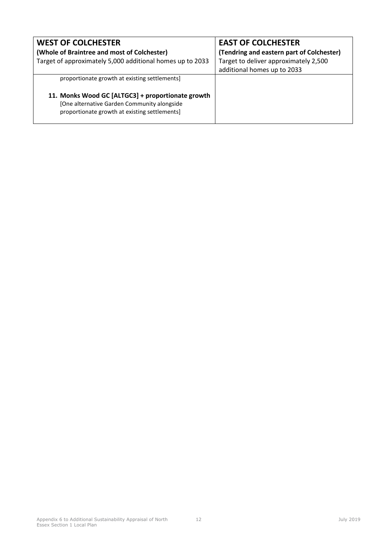| <b>WEST OF COLCHESTER</b>                                                                                                                         | <b>EAST OF COLCHESTER</b>                 |
|---------------------------------------------------------------------------------------------------------------------------------------------------|-------------------------------------------|
| (Whole of Braintree and most of Colchester)                                                                                                       | (Tendring and eastern part of Colchester) |
| Target of approximately 5,000 additional homes up to 2033                                                                                         | Target to deliver approximately 2,500     |
|                                                                                                                                                   | additional homes up to 2033               |
| proportionate growth at existing settlements]                                                                                                     |                                           |
| 11. Monks Wood GC [ALTGC3] + proportionate growth<br>[One alternative Garden Community alongside<br>proportionate growth at existing settlements] |                                           |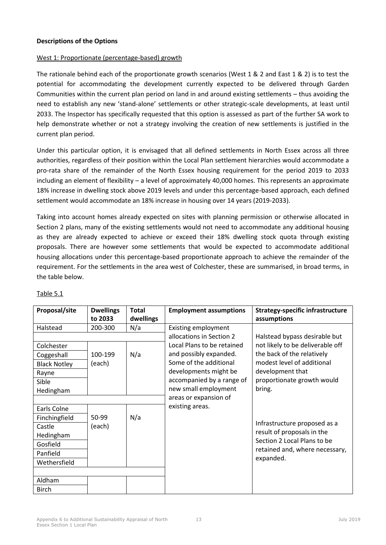### **Descriptions of the Options**

#### West 1: Proportionate (percentage-based) growth

The rationale behind each of the proportionate growth scenarios (West 1 & 2 and East 1 & 2) is to test the potential for accommodating the development currently expected to be delivered through Garden Communities within the current plan period on land in and around existing settlements – thus avoiding the need to establish any new 'stand-alone' settlements or other strategic-scale developments, at least until 2033. The Inspector has specifically requested that this option is assessed as part of the further SA work to help demonstrate whether or not a strategy involving the creation of new settlements is justified in the current plan period.

Under this particular option, it is envisaged that all defined settlements in North Essex across all three authorities, regardless of their position within the Local Plan settlement hierarchies would accommodate a pro-rata share of the remainder of the North Essex housing requirement for the period 2019 to 2033 including an element of flexibility – a level of approximately 40,000 homes. This represents an approximate 18% increase in dwelling stock above 2019 levels and under this percentage-based approach, each defined settlement would accommodate an 18% increase in housing over 14 years (2019-2033).

Taking into account homes already expected on sites with planning permission or otherwise allocated in Section 2 plans, many of the existing settlements would not need to accommodate any additional housing as they are already expected to achieve or exceed their 18% dwelling stock quota through existing proposals. There are however some settlements that would be expected to accommodate additional housing allocations under this percentage-based proportionate approach to achieve the remainder of the requirement. For the settlements in the area west of Colchester, these are summarised, in broad terms, in the table below.

| Proposal/site       | <b>Dwellings</b><br>to 2033 | <b>Total</b><br>dwellings | <b>Employment assumptions</b> | <b>Strategy-specific infrastructure</b><br>assumptions |
|---------------------|-----------------------------|---------------------------|-------------------------------|--------------------------------------------------------|
| Halstead            | 200-300                     | N/a                       | <b>Existing employment</b>    |                                                        |
|                     |                             |                           | allocations in Section 2      | Halstead bypass desirable but                          |
| Colchester          |                             |                           | Local Plans to be retained    | not likely to be deliverable off                       |
| Coggeshall          | 100-199                     | N/a                       | and possibly expanded.        | the back of the relatively                             |
| <b>Black Notley</b> | (each)                      |                           | Some of the additional        | modest level of additional                             |
| Rayne               |                             |                           | developments might be         | development that                                       |
| Sible               |                             |                           | accompanied by a range of     | proportionate growth would                             |
| Hedingham           |                             |                           | new small employment          | bring.                                                 |
|                     |                             |                           | areas or expansion of         |                                                        |
| Earls Colne         |                             |                           | existing areas.               |                                                        |
| Finchingfield       | 50-99                       | N/a                       |                               |                                                        |
| Castle              | (each)                      |                           |                               | Infrastructure proposed as a                           |
| Hedingham           |                             |                           |                               | result of proposals in the                             |
| Gosfield            |                             |                           |                               | Section 2 Local Plans to be                            |
| Panfield            |                             |                           |                               | retained and, where necessary,                         |
| Wethersfield        |                             |                           |                               | expanded.                                              |
|                     |                             |                           |                               |                                                        |
| Aldham              |                             |                           |                               |                                                        |
| <b>Birch</b>        |                             |                           |                               |                                                        |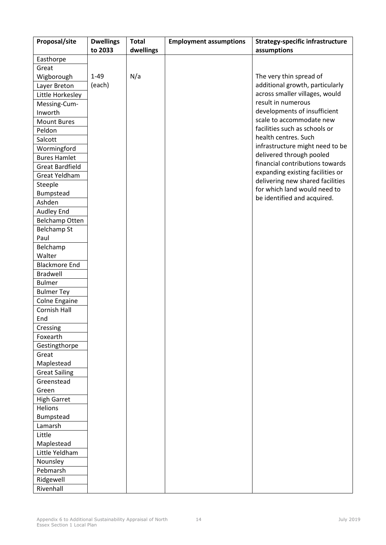| Proposal/site          | <b>Dwellings</b> | <b>Total</b> | <b>Employment assumptions</b> | <b>Strategy-specific infrastructure</b> |
|------------------------|------------------|--------------|-------------------------------|-----------------------------------------|
|                        | to 2033          | dwellings    |                               | assumptions                             |
| Easthorpe              |                  |              |                               |                                         |
| Great                  |                  |              |                               |                                         |
| Wigborough             | $1 - 49$         | N/a          |                               | The very thin spread of                 |
| Layer Breton           | (each)           |              |                               | additional growth, particularly         |
| Little Horkesley       |                  |              |                               | across smaller villages, would          |
| Messing-Cum-           |                  |              |                               | result in numerous                      |
| Inworth                |                  |              |                               | developments of insufficient            |
| <b>Mount Bures</b>     |                  |              |                               | scale to accommodate new                |
| Peldon                 |                  |              |                               | facilities such as schools or           |
| Salcott                |                  |              |                               | health centres. Such                    |
| Wormingford            |                  |              |                               | infrastructure might need to be         |
| <b>Bures Hamlet</b>    |                  |              |                               | delivered through pooled                |
| <b>Great Bardfield</b> |                  |              |                               | financial contributions towards         |
| Great Yeldham          |                  |              |                               | expanding existing facilities or        |
| Steeple                |                  |              |                               | delivering new shared facilities        |
| Bumpstead              |                  |              |                               | for which land would need to            |
| Ashden                 |                  |              |                               | be identified and acquired.             |
| Audley End             |                  |              |                               |                                         |
| Belchamp Otten         |                  |              |                               |                                         |
| <b>Belchamp St</b>     |                  |              |                               |                                         |
| Paul                   |                  |              |                               |                                         |
| Belchamp               |                  |              |                               |                                         |
| Walter                 |                  |              |                               |                                         |
| <b>Blackmore End</b>   |                  |              |                               |                                         |
| <b>Bradwell</b>        |                  |              |                               |                                         |
| <b>Bulmer</b>          |                  |              |                               |                                         |
| <b>Bulmer Tey</b>      |                  |              |                               |                                         |
| Colne Engaine          |                  |              |                               |                                         |
| Cornish Hall           |                  |              |                               |                                         |
| End                    |                  |              |                               |                                         |
| Cressing               |                  |              |                               |                                         |
| Foxearth               |                  |              |                               |                                         |
| Gestingthorpe          |                  |              |                               |                                         |
| Great                  |                  |              |                               |                                         |
| Maplestead             |                  |              |                               |                                         |
| <b>Great Sailing</b>   |                  |              |                               |                                         |
| Greenstead             |                  |              |                               |                                         |
| Green                  |                  |              |                               |                                         |
| <b>High Garret</b>     |                  |              |                               |                                         |
| <b>Helions</b>         |                  |              |                               |                                         |
| Bumpstead              |                  |              |                               |                                         |
| Lamarsh                |                  |              |                               |                                         |
| Little                 |                  |              |                               |                                         |
| Maplestead             |                  |              |                               |                                         |
| Little Yeldham         |                  |              |                               |                                         |
| Nounsley               |                  |              |                               |                                         |
| Pebmarsh               |                  |              |                               |                                         |
| Ridgewell              |                  |              |                               |                                         |
| Rivenhall              |                  |              |                               |                                         |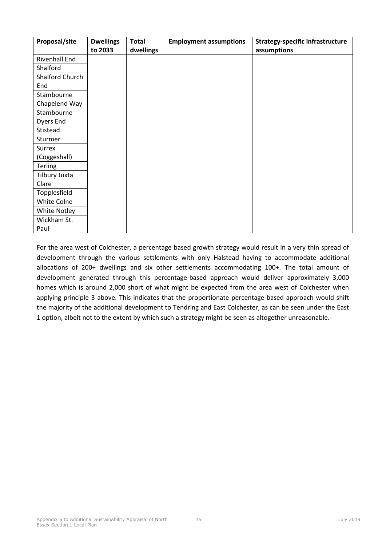| Proposal/site        | <b>Dwellings</b> | <b>Total</b> | <b>Employment assumptions</b> | <b>Strategy-specific infrastructure</b> |
|----------------------|------------------|--------------|-------------------------------|-----------------------------------------|
|                      | to 2033          | dwellings    |                               | assumptions                             |
| <b>Rivenhall End</b> |                  |              |                               |                                         |
| Shalford             |                  |              |                               |                                         |
| Shalford Church      |                  |              |                               |                                         |
| End                  |                  |              |                               |                                         |
| Stambourne           |                  |              |                               |                                         |
| Chapelend Way        |                  |              |                               |                                         |
| Stambourne           |                  |              |                               |                                         |
| Dyers End            |                  |              |                               |                                         |
| Stistead             |                  |              |                               |                                         |
| Sturmer              |                  |              |                               |                                         |
| <b>Surrex</b>        |                  |              |                               |                                         |
| (Coggeshall)         |                  |              |                               |                                         |
| <b>Terling</b>       |                  |              |                               |                                         |
| Tilbury Juxta        |                  |              |                               |                                         |
| Clare                |                  |              |                               |                                         |
| Topplesfield         |                  |              |                               |                                         |
| White Colne          |                  |              |                               |                                         |
| White Notley         |                  |              |                               |                                         |
| Wickham St.          |                  |              |                               |                                         |
| Paul                 |                  |              |                               |                                         |

For the area west of Colchester, a percentage based growth strategy would result in a very thin spread of development through the various settlements with only Halstead having to accommodate additional allocations of 200+ dwellings and six other settlements accommodating 100+. The total amount of development generated through this percentage-based approach would deliver approximately 3,000 homes which is around 2,000 short of what might be expected from the area west of Colchester when applying principle 3 above. This indicates that the proportionate percentage-based approach would shift the majority of the additional development to Tendring and East Colchester, as can be seen under the East 1 option, albeit not to the extent by which such a strategy might be seen as altogether unreasonable.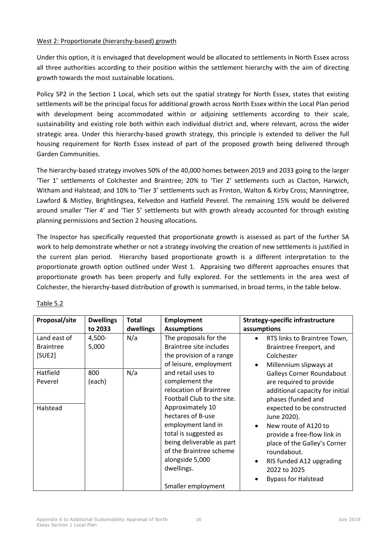### West 2: Proportionate (hierarchy-based) growth

Under this option, it is envisaged that development would be allocated to settlements in North Essex across all three authorities according to their position within the settlement hierarchy with the aim of directing growth towards the most sustainable locations.

Policy SP2 in the Section 1 Local, which sets out the spatial strategy for North Essex, states that existing settlements will be the principal focus for additional growth across North Essex within the Local Plan period with development being accommodated within or adjoining settlements according to their scale, sustainability and existing role both within each individual district and, where relevant, across the wider strategic area. Under this hierarchy-based growth strategy, this principle is extended to deliver the full housing requirement for North Essex instead of part of the proposed growth being delivered through Garden Communities.

The hierarchy-based strategy involves 50% of the 40,000 homes between 2019 and 2033 going to the larger 'Tier 1' settlements of Colchester and Braintree; 20% to 'Tier 2' settlements such as Clacton, Harwich, Witham and Halstead; and 10% to 'Tier 3' settlements such as Frinton, Walton & Kirby Cross; Manningtree, Lawford & Mistley, Brightlingsea, Kelvedon and Hatfield Peverel. The remaining 15% would be delivered around smaller 'Tier 4' and 'Tier 5' settlements but with growth already accounted for through existing planning permissions and Section 2 housing allocations.

The Inspector has specifically requested that proportionate growth is assessed as part of the further SA work to help demonstrate whether or not a strategy involving the creation of new settlements is justified in the current plan period. Hierarchy based proportionate growth is a different interpretation to the proportionate growth option outlined under West 1. Appraising two different approaches ensures that proportionate growth has been properly and fully explored. For the settlements in the area west of Colchester, the hierarchy-based distribution of growth is summarised, in broad terms, in the table below.

| Proposal/site                              | <b>Dwellings</b> | <b>Total</b> | <b>Employment</b>                                                                                                                                                                                                                                                              | <b>Strategy-specific infrastructure</b>                                                                                                                                                                                                                                                                                                                              |
|--------------------------------------------|------------------|--------------|--------------------------------------------------------------------------------------------------------------------------------------------------------------------------------------------------------------------------------------------------------------------------------|----------------------------------------------------------------------------------------------------------------------------------------------------------------------------------------------------------------------------------------------------------------------------------------------------------------------------------------------------------------------|
|                                            | to 2033          | dwellings    | <b>Assumptions</b>                                                                                                                                                                                                                                                             | assumptions                                                                                                                                                                                                                                                                                                                                                          |
| Land east of<br><b>Braintree</b><br>[SUE2] | 4,500-<br>5,000  | N/a          | The proposals for the<br>Braintree site includes<br>the provision of a range<br>of leisure, employment                                                                                                                                                                         | RTS links to Braintree Town,<br>$\bullet$<br>Braintree Freeport, and<br>Colchester<br>Millennium slipways at<br>$\bullet$                                                                                                                                                                                                                                            |
| Hatfield<br>Peverel<br>Halstead            | 800<br>(each)    | N/a          | and retail uses to<br>complement the<br>relocation of Braintree<br>Football Club to the site.<br>Approximately 10<br>hectares of B-use<br>employment land in<br>total is suggested as<br>being deliverable as part<br>of the Braintree scheme<br>alongside 5,000<br>dwellings. | Galleys Corner Roundabout<br>are required to provide<br>additional capacity for initial<br>phases (funded and<br>expected to be constructed<br>June 2020).<br>New route of A120 to<br>$\bullet$<br>provide a free-flow link in<br>place of the Galley's Corner<br>roundabout.<br>RIS funded A12 upgrading<br>$\bullet$<br>2022 to 2025<br><b>Bypass for Halstead</b> |
|                                            |                  |              | Smaller employment                                                                                                                                                                                                                                                             |                                                                                                                                                                                                                                                                                                                                                                      |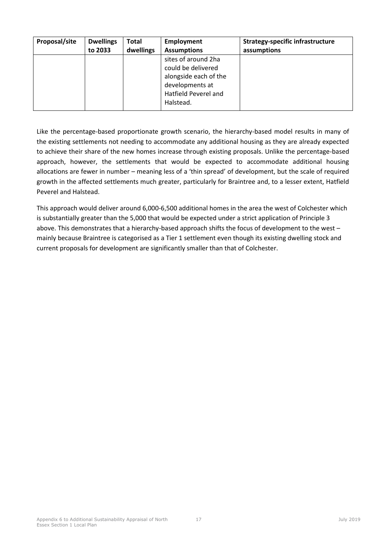| Proposal/site | <b>Dwellings</b> | Total     | Employment                                                                                                                 | <b>Strategy-specific infrastructure</b> |
|---------------|------------------|-----------|----------------------------------------------------------------------------------------------------------------------------|-----------------------------------------|
|               | to 2033          | dwellings | <b>Assumptions</b>                                                                                                         | assumptions                             |
|               |                  |           | sites of around 2ha<br>could be delivered<br>alongside each of the<br>developments at<br>Hatfield Peverel and<br>Halstead. |                                         |

Like the percentage-based proportionate growth scenario, the hierarchy-based model results in many of the existing settlements not needing to accommodate any additional housing as they are already expected to achieve their share of the new homes increase through existing proposals. Unlike the percentage-based approach, however, the settlements that would be expected to accommodate additional housing allocations are fewer in number – meaning less of a 'thin spread' of development, but the scale of required growth in the affected settlements much greater, particularly for Braintree and, to a lesser extent, Hatfield Peverel and Halstead.

This approach would deliver around 6,000-6,500 additional homes in the area the west of Colchester which is substantially greater than the 5,000 that would be expected under a strict application of Principle 3 above. This demonstrates that a hierarchy-based approach shifts the focus of development to the west – mainly because Braintree is categorised as a Tier 1 settlement even though its existing dwelling stock and current proposals for development are significantly smaller than that of Colchester.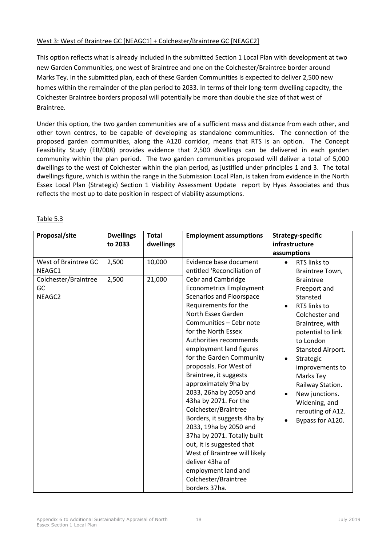## West 3: West of Braintree GC [NEAGC1] + Colchester/Braintree GC [NEAGC2]

This option reflects what is already included in the submitted Section 1 Local Plan with development at two new Garden Communities, one west of Braintree and one on the Colchester/Braintree border around Marks Tey. In the submitted plan, each of these Garden Communities is expected to deliver 2,500 new homes within the remainder of the plan period to 2033. In terms of their long-term dwelling capacity, the Colchester Braintree borders proposal will potentially be more than double the size of that west of Braintree.

Under this option, the two garden communities are of a sufficient mass and distance from each other, and other town centres, to be capable of developing as standalone communities. The connection of the proposed garden communities, along the A120 corridor, means that RTS is an option. The Concept Feasibility Study (EB/008) provides evidence that 2,500 dwellings can be delivered in each garden community within the plan period. The two garden communities proposed will deliver a total of 5,000 dwellings to the west of Colchester within the plan period, as justified under principles 1 and 3. The total dwellings figure, which is within the range in the Submission Local Plan, is taken from evidence in the North Essex Local Plan (Strategic) Section 1 Viability Assessment Update report by Hyas Associates and thus reflects the most up to date position in respect of viability assumptions.

| 10,000<br>West of Braintree GC<br>2,500<br>Evidence base document<br>RTS links to<br>$\bullet$<br>entitled 'Reconciliation of<br>NEAGC1<br>Braintree Town,                                                                                                                                                                                                                                                                                                                                                                                                                                                                                                                                                                                                                                                                                                                                       | Proposal/site        | <b>Dwellings</b><br>to 2033 | <b>Total</b><br>dwellings | <b>Employment assumptions</b> | <b>Strategy-specific</b><br>infrastructure<br>assumptions                                         |
|--------------------------------------------------------------------------------------------------------------------------------------------------------------------------------------------------------------------------------------------------------------------------------------------------------------------------------------------------------------------------------------------------------------------------------------------------------------------------------------------------------------------------------------------------------------------------------------------------------------------------------------------------------------------------------------------------------------------------------------------------------------------------------------------------------------------------------------------------------------------------------------------------|----------------------|-----------------------------|---------------------------|-------------------------------|---------------------------------------------------------------------------------------------------|
| <b>Econometrics Employment</b><br>GC<br>Freeport and<br><b>Scenarios and Floorspace</b><br>NEAGC2<br>Stansted<br>Requirements for the<br>RTS links to<br>$\bullet$<br>North Essex Garden<br>Colchester and<br>Communities - Cebr note<br>Braintree, with<br>for the North Essex<br>potential to link<br>Authorities recommends<br>to London<br>employment land figures<br>for the Garden Community<br>Strategic<br>$\bullet$<br>proposals. For West of<br>Braintree, it suggests<br>Marks Tey<br>approximately 9ha by<br>Railway Station.<br>2033, 26ha by 2050 and<br>New junctions.<br>43ha by 2071. For the<br>Widening, and<br>Colchester/Braintree<br>Borders, it suggests 4ha by<br>2033, 19ha by 2050 and<br>37ha by 2071. Totally built<br>out, it is suggested that<br>West of Braintree will likely<br>deliver 43ha of<br>employment land and<br>Colchester/Braintree<br>borders 37ha. | Colchester/Braintree | 2,500                       | 21,000                    | Cebr and Cambridge            | <b>Braintree</b><br>Stansted Airport.<br>improvements to<br>rerouting of A12.<br>Bypass for A120. |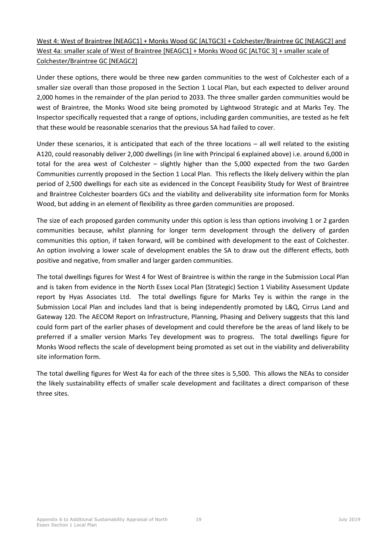## West 4: West of Braintree [NEAGC1] + Monks Wood GC [ALTGC3] + Colchester/Braintree GC [NEAGC2] and West 4a: smaller scale of West of Braintree [NEAGC1] + Monks Wood GC [ALTGC 3] + smaller scale of Colchester/Braintree GC [NEAGC2]

Under these options, there would be three new garden communities to the west of Colchester each of a smaller size overall than those proposed in the Section 1 Local Plan, but each expected to deliver around 2,000 homes in the remainder of the plan period to 2033. The three smaller garden communities would be west of Braintree, the Monks Wood site being promoted by Lightwood Strategic and at Marks Tey. The Inspector specifically requested that a range of options, including garden communities, are tested as he felt that these would be reasonable scenarios that the previous SA had failed to cover.

Under these scenarios, it is anticipated that each of the three locations – all well related to the existing A120, could reasonably deliver 2,000 dwellings (in line with Principal 6 explained above) i.e. around 6,000 in total for the area west of Colchester – slightly higher than the 5,000 expected from the two Garden Communities currently proposed in the Section 1 Local Plan. This reflects the likely delivery within the plan period of 2,500 dwellings for each site as evidenced in the Concept Feasibility Study for West of Braintree and Braintree Colchester boarders GCs and the viability and deliverability site information form for Monks Wood, but adding in an element of flexibility as three garden communities are proposed.

The size of each proposed garden community under this option is less than options involving 1 or 2 garden communities because, whilst planning for longer term development through the delivery of garden communities this option, if taken forward, will be combined with development to the east of Colchester. An option involving a lower scale of development enables the SA to draw out the different effects, both positive and negative, from smaller and larger garden communities.

The total dwellings figures for West 4 for West of Braintree is within the range in the Submission Local Plan and is taken from evidence in the North Essex Local Plan (Strategic) Section 1 Viability Assessment Update report by Hyas Associates Ltd. The total dwellings figure for Marks Tey is within the range in the Submission Local Plan and includes land that is being independently promoted by L&Q, Cirrus Land and Gateway 120. The AECOM Report on Infrastructure, Planning, Phasing and Delivery suggests that this land could form part of the earlier phases of development and could therefore be the areas of land likely to be preferred if a smaller version Marks Tey development was to progress. The total dwellings figure for Monks Wood reflects the scale of development being promoted as set out in the viability and deliverability site information form.

The total dwelling figures for West 4a for each of the three sites is 5,500. This allows the NEAs to consider the likely sustainability effects of smaller scale development and facilitates a direct comparison of these three sites.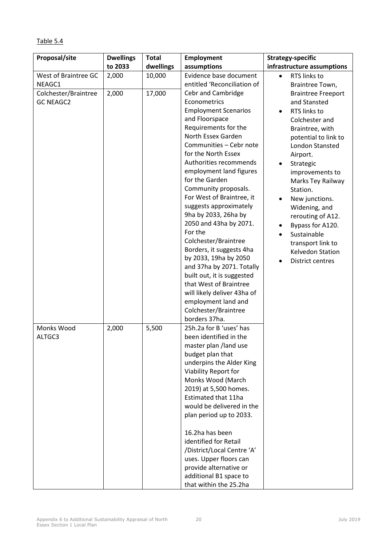| Proposal/site                            | <b>Dwellings</b> | <b>Total</b> | <b>Employment</b>                                                                                                                                                                                                                                                                                                                                                                                                                                                                                                                                                                                                                                                       | <b>Strategy-specific</b>                                                                                                                                                                                                                                                                                                                                                                                |
|------------------------------------------|------------------|--------------|-------------------------------------------------------------------------------------------------------------------------------------------------------------------------------------------------------------------------------------------------------------------------------------------------------------------------------------------------------------------------------------------------------------------------------------------------------------------------------------------------------------------------------------------------------------------------------------------------------------------------------------------------------------------------|---------------------------------------------------------------------------------------------------------------------------------------------------------------------------------------------------------------------------------------------------------------------------------------------------------------------------------------------------------------------------------------------------------|
|                                          | to 2033          | dwellings    | assumptions                                                                                                                                                                                                                                                                                                                                                                                                                                                                                                                                                                                                                                                             | infrastructure assumptions                                                                                                                                                                                                                                                                                                                                                                              |
| West of Braintree GC<br>NEAGC1           | 2,000            | 10,000       | Evidence base document<br>entitled 'Reconciliation of                                                                                                                                                                                                                                                                                                                                                                                                                                                                                                                                                                                                                   | RTS links to<br>$\bullet$<br>Braintree Town,                                                                                                                                                                                                                                                                                                                                                            |
| Colchester/Braintree<br><b>GC NEAGC2</b> | 2,000            | 17,000       | Cebr and Cambridge<br>Econometrics<br><b>Employment Scenarios</b><br>and Floorspace<br>Requirements for the<br>North Essex Garden<br>Communities - Cebr note<br>for the North Essex<br>Authorities recommends<br>employment land figures<br>for the Garden<br>Community proposals.<br>For West of Braintree, it<br>suggests approximately<br>9ha by 2033, 26ha by<br>2050 and 43ha by 2071.<br>For the<br>Colchester/Braintree<br>Borders, it suggests 4ha<br>by 2033, 19ha by 2050<br>and 37ha by 2071. Totally<br>built out, it is suggested<br>that West of Braintree<br>will likely deliver 43ha of<br>employment land and<br>Colchester/Braintree<br>borders 37ha. | <b>Braintree Freeport</b><br>and Stansted<br>RTS links to<br>$\bullet$<br>Colchester and<br>Braintree, with<br>potential to link to<br>London Stansted<br>Airport.<br>Strategic<br>improvements to<br>Marks Tey Railway<br>Station.<br>New junctions.<br>Widening, and<br>rerouting of A12.<br>Bypass for A120.<br>٠<br>Sustainable<br>transport link to<br>Kelvedon Station<br><b>District centres</b> |
| Monks Wood<br>ALTGC3                     | 2,000            | 5,500        | 25h.2a for B 'uses' has<br>been identified in the<br>master plan /land use<br>budget plan that<br>underpins the Alder King<br>Viability Report for<br>Monks Wood (March<br>2019) at 5,500 homes.<br>Estimated that 11ha<br>would be delivered in the<br>plan period up to 2033.<br>16.2ha has been<br>identified for Retail<br>/District/Local Centre 'A'<br>uses. Upper floors can                                                                                                                                                                                                                                                                                     |                                                                                                                                                                                                                                                                                                                                                                                                         |

## Table 5.4

**Proposal/site Dwellings** 

provide alternative or additional B1 space to that within the 25.2ha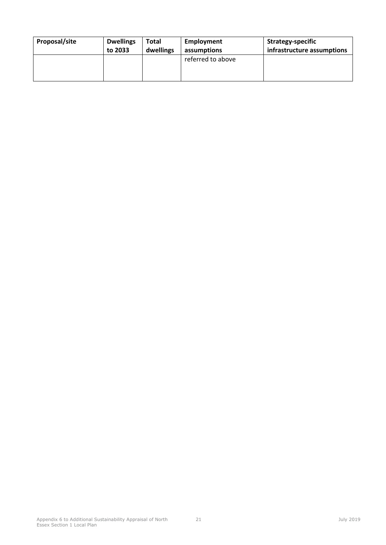| Proposal/site | <b>Dwellings</b> | Total     | Employment        | Strategy-specific          |
|---------------|------------------|-----------|-------------------|----------------------------|
|               | to 2033          | dwellings | assumptions       | infrastructure assumptions |
|               |                  |           | referred to above |                            |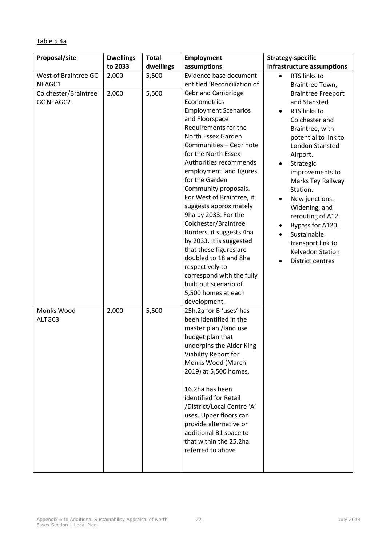| <b>Proposal/site</b> | <b>Dwellings</b> | Τc |
|----------------------|------------------|----|
|                      | to 2033          | d٧ |
| West of Braintree GC | 2,000            | 5, |
| NEAGC1               |                  |    |
| Colchester/Braintree | 2,000            | 5, |
| <b>GC NEAGC2</b>     |                  |    |
|                      |                  |    |
|                      |                  |    |
|                      |                  |    |
|                      |                  |    |

Table 5.4a

| Proposal/site                                                              | <b>Dwellings</b> | <b>Total</b>   | <b>Employment</b>                                                                                                                                                                                                                                                                                                                                                                                       | <b>Strategy-specific</b>                                                                                                                                                                                                        |
|----------------------------------------------------------------------------|------------------|----------------|---------------------------------------------------------------------------------------------------------------------------------------------------------------------------------------------------------------------------------------------------------------------------------------------------------------------------------------------------------------------------------------------------------|---------------------------------------------------------------------------------------------------------------------------------------------------------------------------------------------------------------------------------|
|                                                                            | to 2033          | dwellings      | assumptions                                                                                                                                                                                                                                                                                                                                                                                             | infrastructure assumptions                                                                                                                                                                                                      |
| West of Braintree GC<br>NEAGC1<br>Colchester/Braintree<br><b>GC NEAGC2</b> | 2,000<br>2,000   | 5,500<br>5,500 | Evidence base document<br>entitled 'Reconciliation of<br>Cebr and Cambridge<br>Econometrics<br><b>Employment Scenarios</b><br>and Floorspace<br>Requirements for the<br>North Essex Garden<br>Communities - Cebr note<br>for the North Essex<br>Authorities recommends<br>employment land figures                                                                                                       | RTS links to<br>$\bullet$<br>Braintree Town,<br><b>Braintree Freeport</b><br>and Stansted<br>RTS links to<br>$\bullet$<br>Colchester and<br>Braintree, with<br>potential to link to<br>London Stansted<br>Airport.<br>Strategic |
|                                                                            |                  |                | for the Garden<br>Community proposals.<br>For West of Braintree, it<br>suggests approximately<br>9ha by 2033. For the<br>Colchester/Braintree<br>Borders, it suggests 4ha<br>by 2033. It is suggested<br>that these figures are<br>doubled to 18 and 8ha<br>respectively to<br>correspond with the fully<br>built out scenario of<br>5,500 homes at each<br>development.                                | improvements to<br>Marks Tey Railway<br>Station.<br>New junctions.<br>Widening, and<br>rerouting of A12.<br>Bypass for A120.<br>Sustainable<br>transport link to<br>Kelvedon Station<br>District centres                        |
| Monks Wood<br>ALTGC3                                                       | 2,000            | 5,500          | 25h.2a for B 'uses' has<br>been identified in the<br>master plan /land use<br>budget plan that<br>underpins the Alder King<br>Viability Report for<br>Monks Wood (March<br>2019) at 5,500 homes.<br>16.2ha has been<br>identified for Retail<br>/District/Local Centre 'A'<br>uses. Upper floors can<br>provide alternative or<br>additional B1 space to<br>that within the 25.2ha<br>referred to above |                                                                                                                                                                                                                                 |

٦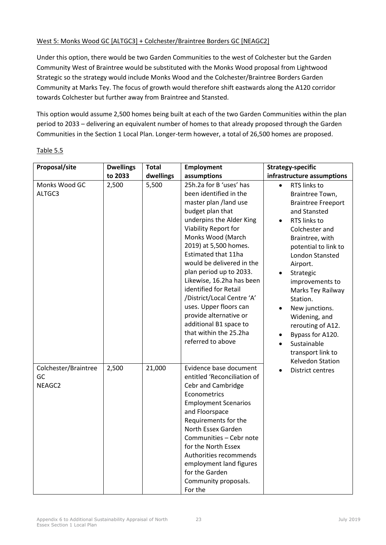## West 5: Monks Wood GC [ALTGC3] + Colchester/Braintree Borders GC [NEAGC2]

Under this option, there would be two Garden Communities to the west of Colchester but the Garden Community West of Braintree would be substituted with the Monks Wood proposal from Lightwood Strategic so the strategy would include Monks Wood and the Colchester/Braintree Borders Garden Community at Marks Tey. The focus of growth would therefore shift eastwards along the A120 corridor towards Colchester but further away from Braintree and Stansted.

This option would assume 2,500 homes being built at each of the two Garden Communities within the plan period to 2033 – delivering an equivalent number of homes to that already proposed through the Garden Communities in the Section 1 Local Plan. Longer-term however, a total of 26,500 homes are proposed.

| Proposal/site                        | <b>Dwellings</b> | <b>Total</b> | <b>Employment</b>                                                                                                                                                                                                                                                                                                                                                                                                                                                                                | <b>Strategy-specific</b>                                                                                                                                                                                                                                                                                                                                                                      |
|--------------------------------------|------------------|--------------|--------------------------------------------------------------------------------------------------------------------------------------------------------------------------------------------------------------------------------------------------------------------------------------------------------------------------------------------------------------------------------------------------------------------------------------------------------------------------------------------------|-----------------------------------------------------------------------------------------------------------------------------------------------------------------------------------------------------------------------------------------------------------------------------------------------------------------------------------------------------------------------------------------------|
|                                      | to 2033          | dwellings    | assumptions                                                                                                                                                                                                                                                                                                                                                                                                                                                                                      | infrastructure assumptions                                                                                                                                                                                                                                                                                                                                                                    |
| Monks Wood GC<br>ALTGC3              | 2,500            | 5,500        | 25h.2a for B 'uses' has<br>been identified in the<br>master plan /land use<br>budget plan that<br>underpins the Alder King<br>Viability Report for<br>Monks Wood (March<br>2019) at 5,500 homes.<br>Estimated that 11ha<br>would be delivered in the<br>plan period up to 2033.<br>Likewise, 16.2ha has been<br>identified for Retail<br>/District/Local Centre 'A'<br>uses. Upper floors can<br>provide alternative or<br>additional B1 space to<br>that within the 25.2ha<br>referred to above | RTS links to<br>Braintree Town,<br><b>Braintree Freeport</b><br>and Stansted<br>RTS links to<br>Colchester and<br>Braintree, with<br>potential to link to<br>London Stansted<br>Airport.<br>Strategic<br>improvements to<br>Marks Tey Railway<br>Station.<br>New junctions.<br>Widening, and<br>rerouting of A12.<br>Bypass for A120.<br>Sustainable<br>transport link to<br>Kelvedon Station |
| Colchester/Braintree<br>GC<br>NEAGC2 | 2,500            | 21,000       | Evidence base document<br>entitled 'Reconciliation of<br>Cebr and Cambridge<br>Econometrics<br><b>Employment Scenarios</b><br>and Floorspace<br>Requirements for the<br>North Essex Garden<br>Communities - Cebr note<br>for the North Essex<br>Authorities recommends<br>employment land figures<br>for the Garden<br>Community proposals.<br>For the                                                                                                                                           | <b>District centres</b>                                                                                                                                                                                                                                                                                                                                                                       |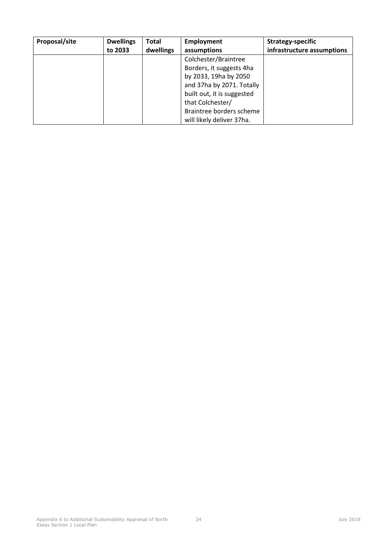| Proposal/site | <b>Dwellings</b> | <b>Total</b> | Employment                 | Strategy-specific          |
|---------------|------------------|--------------|----------------------------|----------------------------|
|               | to 2033          | dwellings    | assumptions                | infrastructure assumptions |
|               |                  |              | Colchester/Braintree       |                            |
|               |                  |              | Borders, it suggests 4ha   |                            |
|               |                  |              | by 2033, 19ha by 2050      |                            |
|               |                  |              | and 37ha by 2071. Totally  |                            |
|               |                  |              | built out, it is suggested |                            |
|               |                  |              | that Colchester/           |                            |
|               |                  |              | Braintree borders scheme   |                            |
|               |                  |              | will likely deliver 37ha.  |                            |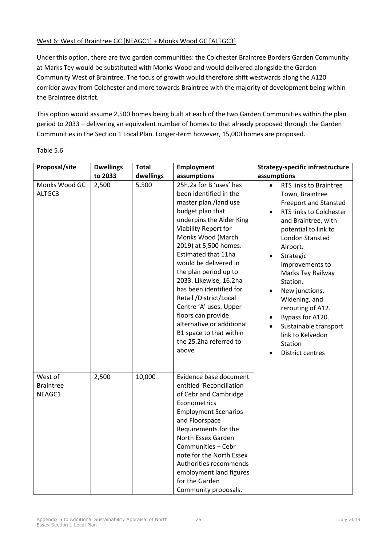## West 6: West of Braintree GC [NEAGC1] + Monks Wood GC [ALTGC3]

Under this option, there are two garden communities: the Colchester Braintree Borders Garden Community at Marks Tey would be substituted with Monks Wood and would delivered alongside the Garden Community West of Braintree. The focus of growth would therefore shift westwards along the A120 corridor away from Colchester and more towards Braintree with the majority of development being within the Braintree district.

This option would assume 2,500 homes being built at each of the two Garden Communities within the plan period to 2033 – delivering an equivalent number of homes to that already proposed through the Garden Communities in the Section 1 Local Plan. Longer-term however, 15,000 homes are proposed.

| Proposal/site                         | <b>Dwellings</b> | <b>Total</b> | <b>Employment</b>                                                                                                                                                                                                                                                                                                                                                                                                                                                                                    | <b>Strategy-specific infrastructure</b>                                                                                                                                                                                                                                                                                                                                                                            |
|---------------------------------------|------------------|--------------|------------------------------------------------------------------------------------------------------------------------------------------------------------------------------------------------------------------------------------------------------------------------------------------------------------------------------------------------------------------------------------------------------------------------------------------------------------------------------------------------------|--------------------------------------------------------------------------------------------------------------------------------------------------------------------------------------------------------------------------------------------------------------------------------------------------------------------------------------------------------------------------------------------------------------------|
|                                       | to 2033          | dwellings    | assumptions                                                                                                                                                                                                                                                                                                                                                                                                                                                                                          | assumptions                                                                                                                                                                                                                                                                                                                                                                                                        |
| Monks Wood GC<br>ALTGC3               | 2,500            | 5,500        | 25h.2a for B 'uses' has<br>been identified in the<br>master plan /land use<br>budget plan that<br>underpins the Alder King<br>Viability Report for<br>Monks Wood (March<br>2019) at 5,500 homes.<br>Estimated that 11ha<br>would be delivered in<br>the plan period up to<br>2033. Likewise, 16.2ha<br>has been identified for<br>Retail / District/Local<br>Centre 'A' uses. Upper<br>floors can provide<br>alternative or additional<br>B1 space to that within<br>the 25.2ha referred to<br>above | RTS links to Braintree<br>Town, Braintree<br><b>Freeport and Stansted</b><br>RTS links to Colchester<br>and Braintree, with<br>potential to link to<br>London Stansted<br>Airport.<br>Strategic<br>improvements to<br>Marks Tey Railway<br>Station.<br>New junctions.<br>Widening, and<br>rerouting of A12.<br>Bypass for A120.<br>Sustainable transport<br>link to Kelvedon<br>Station<br><b>District centres</b> |
| West of<br><b>Braintree</b><br>NEAGC1 | 2,500            | 10,000       | Evidence base document<br>entitled 'Reconciliation<br>of Cebr and Cambridge<br>Econometrics<br><b>Employment Scenarios</b><br>and Floorspace<br>Requirements for the<br>North Essex Garden<br>Communities - Cebr<br>note for the North Essex<br>Authorities recommends<br>employment land figures<br>for the Garden<br>Community proposals.                                                                                                                                                          |                                                                                                                                                                                                                                                                                                                                                                                                                    |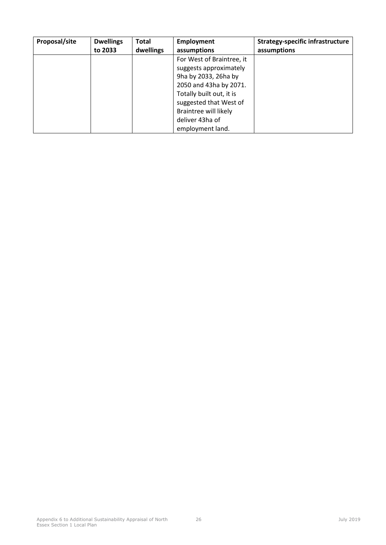| Proposal/site | <b>Dwellings</b> | <b>Total</b> | <b>Employment</b>         | <b>Strategy-specific infrastructure</b> |
|---------------|------------------|--------------|---------------------------|-----------------------------------------|
|               | to 2033          | dwellings    | assumptions               | assumptions                             |
|               |                  |              | For West of Braintree, it |                                         |
|               |                  |              | suggests approximately    |                                         |
|               |                  |              | 9ha by 2033, 26ha by      |                                         |
|               |                  |              | 2050 and 43ha by 2071.    |                                         |
|               |                  |              | Totally built out, it is  |                                         |
|               |                  |              | suggested that West of    |                                         |
|               |                  |              | Braintree will likely     |                                         |
|               |                  |              | deliver 43ha of           |                                         |
|               |                  |              | employment land.          |                                         |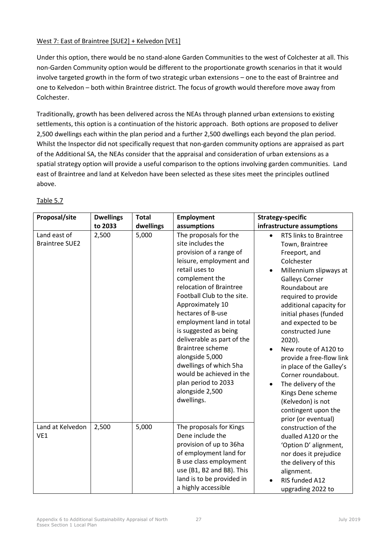## West 7: East of Braintree [SUE2] + Kelvedon [VE1]

Under this option, there would be no stand-alone Garden Communities to the west of Colchester at all. This non-Garden Community option would be different to the proportionate growth scenarios in that it would involve targeted growth in the form of two strategic urban extensions – one to the east of Braintree and one to Kelvedon – both within Braintree district. The focus of growth would therefore move away from Colchester.

Traditionally, growth has been delivered across the NEAs through planned urban extensions to existing settlements, this option is a continuation of the historic approach. Both options are proposed to deliver 2,500 dwellings each within the plan period and a further 2,500 dwellings each beyond the plan period. Whilst the Inspector did not specifically request that non-garden community options are appraised as part of the Additional SA, the NEAs consider that the appraisal and consideration of urban extensions as a spatial strategy option will provide a useful comparison to the options involving garden communities. Land east of Braintree and land at Kelvedon have been selected as these sites meet the principles outlined above.

| Proposal/site                         | <b>Dwellings</b> | <b>Total</b> | <b>Employment</b>                                                                                                                                                                                                                                                                                                                                                                                                                                                                     | <b>Strategy-specific</b>                                                                                                                                                                                                                                                                                                                                                                                                                                                                                           |
|---------------------------------------|------------------|--------------|---------------------------------------------------------------------------------------------------------------------------------------------------------------------------------------------------------------------------------------------------------------------------------------------------------------------------------------------------------------------------------------------------------------------------------------------------------------------------------------|--------------------------------------------------------------------------------------------------------------------------------------------------------------------------------------------------------------------------------------------------------------------------------------------------------------------------------------------------------------------------------------------------------------------------------------------------------------------------------------------------------------------|
|                                       | to 2033          | dwellings    | assumptions                                                                                                                                                                                                                                                                                                                                                                                                                                                                           | infrastructure assumptions                                                                                                                                                                                                                                                                                                                                                                                                                                                                                         |
| Land east of<br><b>Braintree SUE2</b> | 2,500            | 5,000        | The proposals for the<br>site includes the<br>provision of a range of<br>leisure, employment and<br>retail uses to<br>complement the<br>relocation of Braintree<br>Football Club to the site.<br>Approximately 10<br>hectares of B-use<br>employment land in total<br>is suggested as being<br>deliverable as part of the<br><b>Braintree scheme</b><br>alongside 5,000<br>dwellings of which 5ha<br>would be achieved in the<br>plan period to 2033<br>alongside 2,500<br>dwellings. | RTS links to Braintree<br>$\bullet$<br>Town, Braintree<br>Freeport, and<br>Colchester<br>Millennium slipways at<br><b>Galleys Corner</b><br>Roundabout are<br>required to provide<br>additional capacity for<br>initial phases (funded<br>and expected to be<br>constructed June<br>$2020$ ).<br>New route of A120 to<br>provide a free-flow link<br>in place of the Galley's<br>Corner roundabout.<br>The delivery of the<br>Kings Dene scheme<br>(Kelvedon) is not<br>contingent upon the<br>prior (or eventual) |
| Land at Kelvedon<br>VE1               | 2,500            | 5,000        | The proposals for Kings<br>Dene include the<br>provision of up to 36ha<br>of employment land for<br>B use class employment<br>use (B1, B2 and B8). This<br>land is to be provided in<br>a highly accessible                                                                                                                                                                                                                                                                           | construction of the<br>dualled A120 or the<br>'Option D' alignment,<br>nor does it prejudice<br>the delivery of this<br>alignment.<br>RIS funded A12<br>upgrading 2022 to                                                                                                                                                                                                                                                                                                                                          |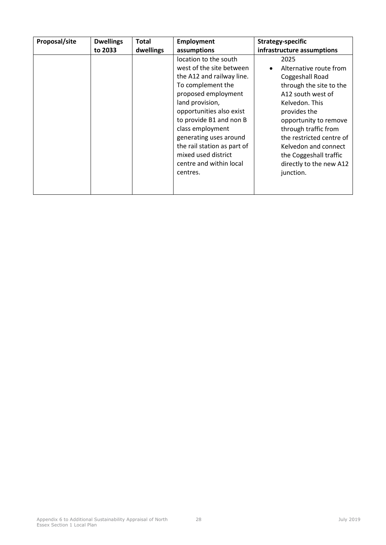| Proposal/site | <b>Dwellings</b> | Total     | <b>Employment</b>                                                                                                                                                                                                                                                                                                                               | Strategy-specific                                                                                                                                                                                                                                                                                          |
|---------------|------------------|-----------|-------------------------------------------------------------------------------------------------------------------------------------------------------------------------------------------------------------------------------------------------------------------------------------------------------------------------------------------------|------------------------------------------------------------------------------------------------------------------------------------------------------------------------------------------------------------------------------------------------------------------------------------------------------------|
|               | to 2033          | dwellings | assumptions                                                                                                                                                                                                                                                                                                                                     | infrastructure assumptions                                                                                                                                                                                                                                                                                 |
|               |                  |           | location to the south<br>west of the site between<br>the A12 and railway line.<br>To complement the<br>proposed employment<br>land provision,<br>opportunities also exist<br>to provide B1 and non B<br>class employment<br>generating uses around<br>the rail station as part of<br>mixed used district<br>centre and within local<br>centres. | 2025<br>Alternative route from<br>Coggeshall Road<br>through the site to the<br>A12 south west of<br>Kelvedon. This<br>provides the<br>opportunity to remove<br>through traffic from<br>the restricted centre of<br>Kelvedon and connect<br>the Coggeshall traffic<br>directly to the new A12<br>junction. |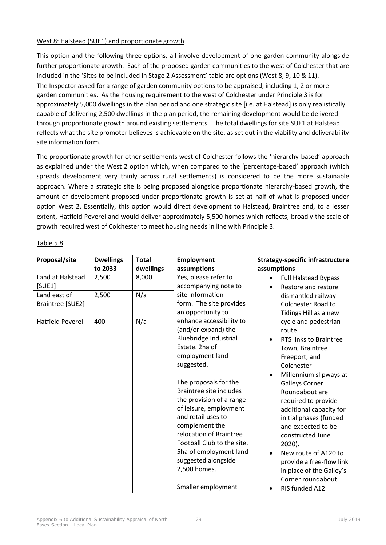### West 8: Halstead (SUE1) and proportionate growth

This option and the following three options, all involve development of one garden community alongside further proportionate growth. Each of the proposed garden communities to the west of Colchester that are included in the 'Sites to be included in Stage 2 Assessment' table are options (West 8, 9, 10 & 11). The Inspector asked for a range of garden community options to be appraised, including 1, 2 or more garden communities. As the housing requirement to the west of Colchester under Principle 3 is for approximately 5,000 dwellings in the plan period and one strategic site [i.e. at Halstead] is only realistically capable of delivering 2,500 dwellings in the plan period, the remaining development would be delivered through proportionate growth around existing settlements. The total dwellings for site SUE1 at Halstead reflects what the site promoter believes is achievable on the site, as set out in the viability and deliverability site information form.

The proportionate growth for other settlements west of Colchester follows the 'hierarchy-based' approach as explained under the West 2 option which, when compared to the 'percentage-based' approach (which spreads development very thinly across rural settlements) is considered to be the more sustainable approach. Where a strategic site is being proposed alongside proportionate hierarchy-based growth, the amount of development proposed under proportionate growth is set at half of what is proposed under option West 2. Essentially, this option would direct development to Halstead, Braintree and, to a lesser extent, Hatfield Peverel and would deliver approximately 5,500 homes which reflects, broadly the scale of growth required west of Colchester to meet housing needs in line with Principle 3.

| Proposal/site           | <b>Dwellings</b> | <b>Total</b> | <b>Employment</b>              | <b>Strategy-specific infrastructure</b> |
|-------------------------|------------------|--------------|--------------------------------|-----------------------------------------|
|                         | to 2033          | dwellings    | assumptions                    | assumptions                             |
| Land at Halstead        | 2,500            | 8,000        | Yes, please refer to           | <b>Full Halstead Bypass</b>             |
| [SUB1]                  |                  |              | accompanying note to           | Restore and restore                     |
| Land east of            | 2,500            | N/a          | site information               | dismantled railway                      |
| Braintree [SUE2]        |                  |              | form. The site provides        | <b>Colchester Road to</b>               |
|                         |                  |              | an opportunity to              | Tidings Hill as a new                   |
| <b>Hatfield Peverel</b> | 400              | N/a          | enhance accessibility to       | cycle and pedestrian                    |
|                         |                  |              | (and/or expand) the            | route.                                  |
|                         |                  |              | Bluebridge Industrial          | RTS links to Braintree<br>$\bullet$     |
|                         |                  |              | Estate. 2ha of                 | Town, Braintree                         |
|                         |                  |              | employment land                | Freeport, and                           |
|                         |                  |              | suggested.                     | Colchester                              |
|                         |                  |              |                                | Millennium slipways at<br>$\bullet$     |
|                         |                  |              | The proposals for the          | <b>Galleys Corner</b>                   |
|                         |                  |              | <b>Braintree site includes</b> | Roundabout are                          |
|                         |                  |              | the provision of a range       | required to provide                     |
|                         |                  |              | of leisure, employment         | additional capacity for                 |
|                         |                  |              | and retail uses to             | initial phases (funded                  |
|                         |                  |              | complement the                 | and expected to be                      |
|                         |                  |              | relocation of Braintree        | constructed June                        |
|                         |                  |              | Football Club to the site.     | 2020).                                  |
|                         |                  |              | 5ha of employment land         | New route of A120 to                    |
|                         |                  |              | suggested alongside            | provide a free-flow link                |
|                         |                  |              | 2,500 homes.                   | in place of the Galley's                |
|                         |                  |              |                                | Corner roundabout.                      |
|                         |                  |              | Smaller employment             | RIS funded A12                          |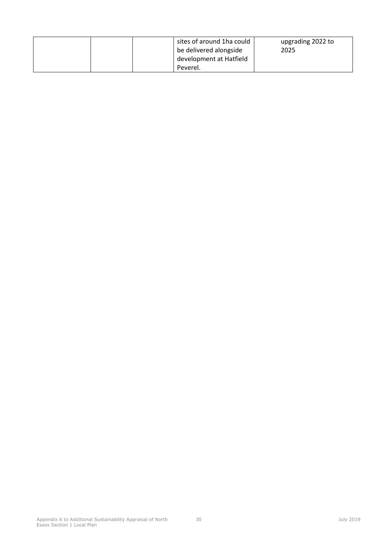|  | sites of around 1ha could<br>be delivered alongside<br>development at Hatfield | upgrading 2022 to<br>2025 |
|--|--------------------------------------------------------------------------------|---------------------------|
|  | Peverel.                                                                       |                           |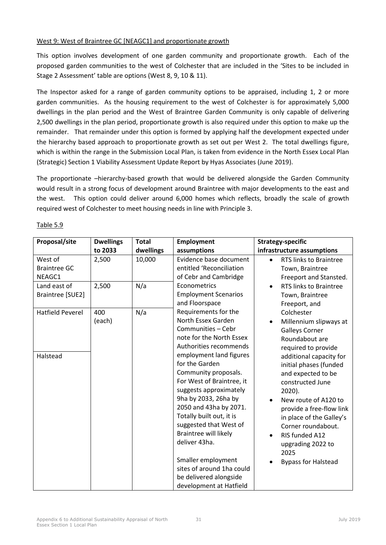## West 9: West of Braintree GC [NEAGC1] and proportionate growth

This option involves development of one garden community and proportionate growth. Each of the proposed garden communities to the west of Colchester that are included in the 'Sites to be included in Stage 2 Assessment' table are options (West 8, 9, 10 & 11).

The Inspector asked for a range of garden community options to be appraised, including 1, 2 or more garden communities. As the housing requirement to the west of Colchester is for approximately 5,000 dwellings in the plan period and the West of Braintree Garden Community is only capable of delivering 2,500 dwellings in the plan period, proportionate growth is also required under this option to make up the remainder. That remainder under this option is formed by applying half the development expected under the hierarchy based approach to proportionate growth as set out per West 2. The total dwellings figure, which is within the range in the Submission Local Plan, is taken from evidence in the North Essex Local Plan (Strategic) Section 1 Viability Assessment Update Report by Hyas Associates (June 2019).

The proportionate –hierarchy-based growth that would be delivered alongside the Garden Community would result in a strong focus of development around Braintree with major developments to the east and the west. This option could deliver around 6,000 homes which reflects, broadly the scale of growth required west of Colchester to meet housing needs in line with Principle 3.

| Proposal/site                            | <b>Dwellings</b> | <b>Total</b> | <b>Employment</b>                                                                                                                                                                                                                                                                                                                                                                                                                                                                                                   | <b>Strategy-specific</b>                                                                                                                                                                                                                                                                                                                                                                                                     |
|------------------------------------------|------------------|--------------|---------------------------------------------------------------------------------------------------------------------------------------------------------------------------------------------------------------------------------------------------------------------------------------------------------------------------------------------------------------------------------------------------------------------------------------------------------------------------------------------------------------------|------------------------------------------------------------------------------------------------------------------------------------------------------------------------------------------------------------------------------------------------------------------------------------------------------------------------------------------------------------------------------------------------------------------------------|
|                                          | to 2033          | dwellings    | assumptions                                                                                                                                                                                                                                                                                                                                                                                                                                                                                                         | infrastructure assumptions                                                                                                                                                                                                                                                                                                                                                                                                   |
| West of<br><b>Braintree GC</b><br>NEAGC1 | 2,500            | 10,000       | Evidence base document<br>entitled 'Reconciliation<br>of Cebr and Cambridge                                                                                                                                                                                                                                                                                                                                                                                                                                         | RTS links to Braintree<br>$\bullet$<br>Town, Braintree<br>Freeport and Stansted.                                                                                                                                                                                                                                                                                                                                             |
| Land east of<br>Braintree [SUE2]         | 2,500            | N/a          | Econometrics<br><b>Employment Scenarios</b><br>and Floorspace                                                                                                                                                                                                                                                                                                                                                                                                                                                       | RTS links to Braintree<br>$\bullet$<br>Town, Braintree<br>Freeport, and                                                                                                                                                                                                                                                                                                                                                      |
| <b>Hatfield Peverel</b><br>Halstead      | 400<br>(each)    | N/a          | Requirements for the<br>North Essex Garden<br>Communities - Cebr<br>note for the North Essex<br>Authorities recommends<br>employment land figures<br>for the Garden<br>Community proposals.<br>For West of Braintree, it<br>suggests approximately<br>9ha by 2033, 26ha by<br>2050 and 43ha by 2071.<br>Totally built out, it is<br>suggested that West of<br><b>Braintree will likely</b><br>deliver 43ha.<br>Smaller employment<br>sites of around 1ha could<br>be delivered alongside<br>development at Hatfield | Colchester<br>Millennium slipways at<br>$\bullet$<br><b>Galleys Corner</b><br>Roundabout are<br>required to provide<br>additional capacity for<br>initial phases (funded<br>and expected to be<br>constructed June<br>2020).<br>New route of A120 to<br>provide a free-flow link<br>in place of the Galley's<br>Corner roundabout.<br>RIS funded A12<br>$\bullet$<br>upgrading 2022 to<br>2025<br><b>Bypass for Halstead</b> |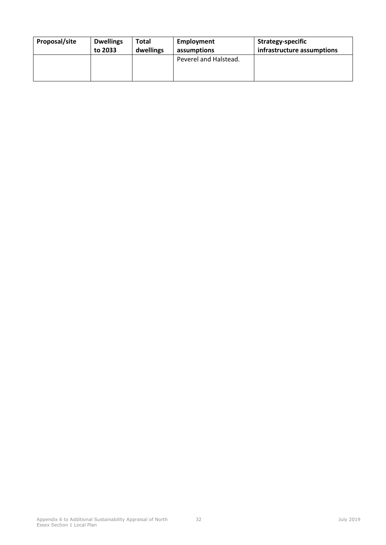| Proposal/site | <b>Dwellings</b> | Total     | Employment            | Strategy-specific          |
|---------------|------------------|-----------|-----------------------|----------------------------|
|               | to 2033          | dwellings | assumptions           | infrastructure assumptions |
|               |                  |           | Peverel and Halstead. |                            |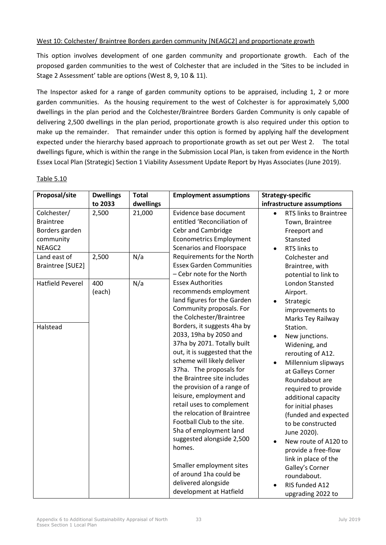### West 10: Colchester/ Braintree Borders garden community [NEAGC2] and proportionate growth

This option involves development of one garden community and proportionate growth. Each of the proposed garden communities to the west of Colchester that are included in the 'Sites to be included in Stage 2 Assessment' table are options (West 8, 9, 10 & 11).

The Inspector asked for a range of garden community options to be appraised, including 1, 2 or more garden communities. As the housing requirement to the west of Colchester is for approximately 5,000 dwellings in the plan period and the Colchester/Braintree Borders Garden Community is only capable of delivering 2,500 dwellings in the plan period, proportionate growth is also required under this option to make up the remainder. That remainder under this option is formed by applying half the development expected under the hierarchy based approach to proportionate growth as set out per West 2. The total dwellings figure, which is within the range in the Submission Local Plan, is taken from evidence in the North Essex Local Plan (Strategic) Section 1 Viability Assessment Update Report by Hyas Associates (June 2019).

| Proposal/site           | <b>Dwellings</b> | <b>Total</b> | <b>Employment assumptions</b>   | <b>Strategy-specific</b>   |
|-------------------------|------------------|--------------|---------------------------------|----------------------------|
|                         | to 2033          | dwellings    |                                 | infrastructure assumptions |
| Colchester/             | 2,500            | 21,000       | Evidence base document          | RTS links to Braintree     |
| <b>Braintree</b>        |                  |              | entitled 'Reconciliation of     | Town, Braintree            |
| Borders garden          |                  |              | <b>Cebr and Cambridge</b>       | Freeport and               |
| community               |                  |              | <b>Econometrics Employment</b>  | Stansted                   |
| NEAGC2                  |                  |              | Scenarios and Floorspace        | RTS links to               |
| Land east of            | 2,500            | N/a          | Requirements for the North      | Colchester and             |
| Braintree [SUE2]        |                  |              | <b>Essex Garden Communities</b> | Braintree, with            |
|                         |                  |              | - Cebr note for the North       | potential to link to       |
| <b>Hatfield Peverel</b> | 400              | N/a          | <b>Essex Authorities</b>        | <b>London Stansted</b>     |
|                         | (each)           |              | recommends employment           | Airport.                   |
|                         |                  |              | land figures for the Garden     | Strategic                  |
|                         |                  |              | Community proposals. For        | improvements to            |
|                         |                  |              | the Colchester/Braintree        | Marks Tey Railway          |
| Halstead                |                  |              | Borders, it suggests 4ha by     | Station.                   |
|                         |                  |              | 2033, 19ha by 2050 and          | New junctions.             |
|                         |                  |              | 37ha by 2071. Totally built     | Widening, and              |
|                         |                  |              | out, it is suggested that the   | rerouting of A12.          |
|                         |                  |              | scheme will likely deliver      | Millennium slipways        |
|                         |                  |              | 37ha. The proposals for         | at Galleys Corner          |
|                         |                  |              | the Braintree site includes     | Roundabout are             |
|                         |                  |              | the provision of a range of     | required to provide        |
|                         |                  |              | leisure, employment and         | additional capacity        |
|                         |                  |              | retail uses to complement       | for initial phases         |
|                         |                  |              | the relocation of Braintree     | (funded and expected       |
|                         |                  |              | Football Club to the site.      | to be constructed          |
|                         |                  |              | 5ha of employment land          | June 2020).                |
|                         |                  |              | suggested alongside 2,500       | New route of A120 to       |
|                         |                  |              | homes.                          | provide a free-flow        |
|                         |                  |              |                                 | link in place of the       |
|                         |                  |              | Smaller employment sites        | Galley's Corner            |
|                         |                  |              | of around 1ha could be          | roundabout.                |
|                         |                  |              | delivered alongside             | RIS funded A12             |
|                         |                  |              | development at Hatfield         | upgrading 2022 to          |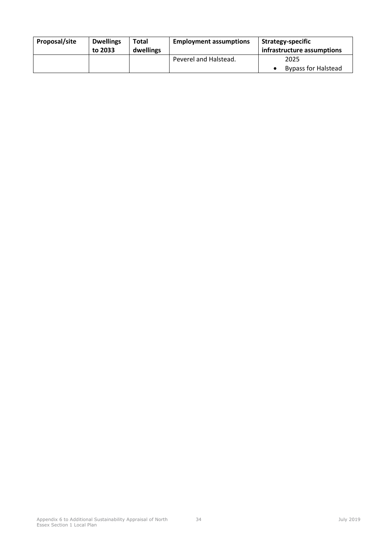| Proposal/site | <b>Dwellings</b><br>to 2033 | Total<br>dwellings | <b>Employment assumptions</b> | <b>Strategy-specific</b><br>infrastructure assumptions |
|---------------|-----------------------------|--------------------|-------------------------------|--------------------------------------------------------|
|               |                             |                    | Peverel and Halstead.         | 2025<br><b>Bypass for Halstead</b>                     |
|               |                             |                    |                               |                                                        |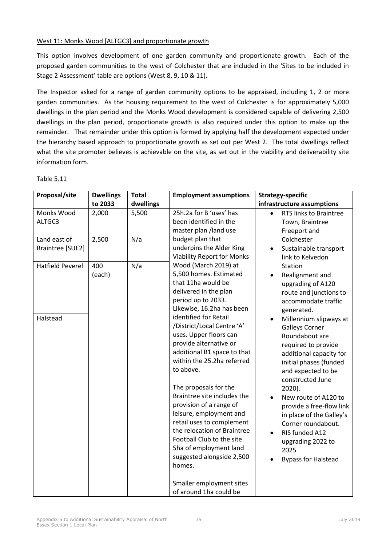### West 11: Monks Wood [ALTGC3] and proportionate growth

This option involves development of one garden community and proportionate growth. Each of the proposed garden communities to the west of Colchester that are included in the 'Sites to be included in Stage 2 Assessment' table are options (West 8, 9, 10 & 11).

The Inspector asked for a range of garden community options to be appraised, including 1, 2 or more garden communities. As the housing requirement to the west of Colchester is for approximately 5,000 dwellings in the plan period and the Monks Wood development is considered capable of delivering 2,500 dwellings in the plan period, proportionate growth is also required under this option to make up the remainder. That remainder under this option is formed by applying half the development expected under the hierarchy based approach to proportionate growth as set out per West 2. The total dwellings reflect what the site promoter believes is achievable on the site, as set out in the viability and deliverability site information form.

| Proposal/site                       | <b>Dwellings</b><br>to 2033 | <b>Total</b><br>dwellings | <b>Employment assumptions</b>                                                                                                                                                                                                                                                                                                                                                                                                                                                                                                                                                                                                              | <b>Strategy-specific</b><br>infrastructure assumptions                                                                                                                                                                                                                                                                                                                                                                                                                                                                              |
|-------------------------------------|-----------------------------|---------------------------|--------------------------------------------------------------------------------------------------------------------------------------------------------------------------------------------------------------------------------------------------------------------------------------------------------------------------------------------------------------------------------------------------------------------------------------------------------------------------------------------------------------------------------------------------------------------------------------------------------------------------------------------|-------------------------------------------------------------------------------------------------------------------------------------------------------------------------------------------------------------------------------------------------------------------------------------------------------------------------------------------------------------------------------------------------------------------------------------------------------------------------------------------------------------------------------------|
| Monks Wood<br>ALTGC3                | 2,000                       | 5,500                     | 25h.2a for B 'uses' has<br>been identified in the<br>master plan /land use                                                                                                                                                                                                                                                                                                                                                                                                                                                                                                                                                                 | RTS links to Braintree<br>Town, Braintree<br>Freeport and                                                                                                                                                                                                                                                                                                                                                                                                                                                                           |
| Land east of<br>Braintree [SUE2]    | 2,500                       | N/a                       | budget plan that<br>underpins the Alder King<br><b>Viability Report for Monks</b>                                                                                                                                                                                                                                                                                                                                                                                                                                                                                                                                                          | Colchester<br>Sustainable transport<br>link to Kelvedon                                                                                                                                                                                                                                                                                                                                                                                                                                                                             |
| <b>Hatfield Peverel</b><br>Halstead | 400<br>(each)               | N/a                       | Wood (March 2019) at<br>5,500 homes. Estimated<br>that 11ha would be<br>delivered in the plan<br>period up to 2033.<br>Likewise, 16.2ha has been<br>identified for Retail<br>/District/Local Centre 'A'<br>uses. Upper floors can<br>provide alternative or<br>additional B1 space to that<br>within the 25.2ha referred<br>to above.<br>The proposals for the<br>Braintree site includes the<br>provision of a range of<br>leisure, employment and<br>retail uses to complement<br>the relocation of Braintree<br>Football Club to the site.<br>5ha of employment land<br>suggested alongside 2,500<br>homes.<br>Smaller employment sites | Station<br>Realignment and<br>upgrading of A120<br>route and junctions to<br>accommodate traffic<br>generated.<br>Millennium slipways at<br><b>Galleys Corner</b><br>Roundabout are<br>required to provide<br>additional capacity for<br>initial phases (funded<br>and expected to be<br>constructed June<br>$2020$ ).<br>New route of A120 to<br>$\bullet$<br>provide a free-flow link<br>in place of the Galley's<br>Corner roundabout.<br>RIS funded A12<br>$\bullet$<br>upgrading 2022 to<br>2025<br><b>Bypass for Halstead</b> |
|                                     |                             |                           | of around 1ha could be                                                                                                                                                                                                                                                                                                                                                                                                                                                                                                                                                                                                                     |                                                                                                                                                                                                                                                                                                                                                                                                                                                                                                                                     |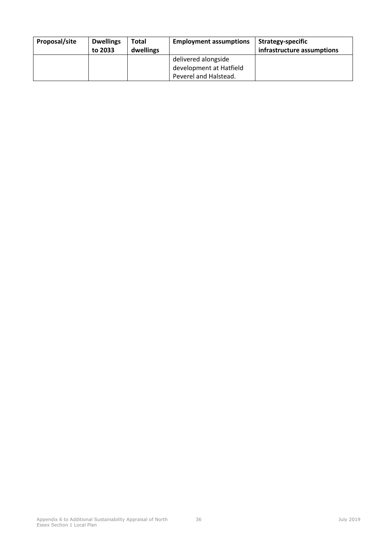| Proposal/site | <b>Dwellings</b><br>to 2033 | <b>Total</b><br>dwellings | <b>Employment assumptions</b> | Strategy-specific<br>infrastructure assumptions |
|---------------|-----------------------------|---------------------------|-------------------------------|-------------------------------------------------|
|               |                             |                           | delivered alongside           |                                                 |
|               |                             |                           | development at Hatfield       |                                                 |
|               |                             |                           | Peverel and Halstead.         |                                                 |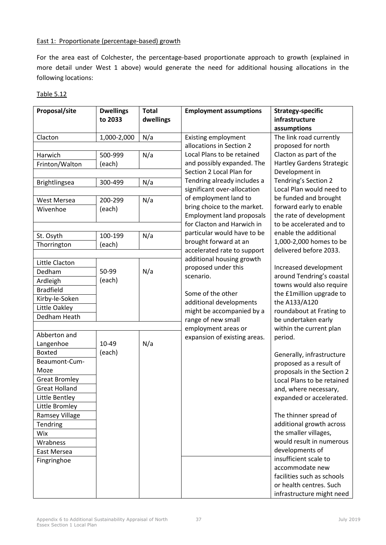#### East 1: Proportionate (percentage-based) growth

For the area east of Colchester, the percentage-based proportionate approach to growth (explained in more detail under West 1 above) would generate the need for additional housing allocations in the following locations:

| Proposal/site        | <b>Dwellings</b> | <b>Total</b> | <b>Employment assumptions</b>    | <b>Strategy-specific</b>                             |
|----------------------|------------------|--------------|----------------------------------|------------------------------------------------------|
|                      | to 2033          | dwellings    |                                  | infrastructure                                       |
|                      |                  |              |                                  | assumptions                                          |
| Clacton              | 1,000-2,000      | N/a          | <b>Existing employment</b>       | The link road currently                              |
|                      |                  |              | allocations in Section 2         | proposed for north                                   |
| Harwich              | 500-999          | N/a          | Local Plans to be retained       | Clacton as part of the                               |
| Frinton/Walton       | (each)           |              | and possibly expanded. The       | <b>Hartley Gardens Strategic</b>                     |
|                      |                  |              | Section 2 Local Plan for         | Development in                                       |
| Brightlingsea        | 300-499          | N/a          | Tendring already includes a      | Tendring's Section 2                                 |
|                      |                  |              | significant over-allocation      | Local Plan would need to                             |
| West Mersea          | 200-299          | N/a          | of employment land to            | be funded and brought                                |
| Wivenhoe             | (each)           |              | bring choice to the market.      | forward early to enable                              |
|                      |                  |              | <b>Employment land proposals</b> | the rate of development                              |
|                      |                  |              | for Clacton and Harwich in       | to be accelerated and to                             |
| St. Osyth            | 100-199          | N/a          | particular would have to be      | enable the additional                                |
| Thorrington          | (each)           |              | brought forward at an            | 1,000-2,000 homes to be                              |
|                      |                  |              | accelerated rate to support      | delivered before 2033.                               |
| Little Clacton       |                  |              | additional housing growth        |                                                      |
| Dedham               | 50-99            | N/a          | proposed under this              | Increased development                                |
| Ardleigh             | (each)           |              | scenario.                        | around Tendring's coastal                            |
| <b>Bradfield</b>     |                  |              |                                  | towns would also require                             |
| Kirby-le-Soken       |                  |              | Some of the other                | the £1million upgrade to                             |
| Little Oakley        |                  |              | additional developments          | the A133/A120                                        |
| Dedham Heath         |                  |              | might be accompanied by a        | roundabout at Frating to                             |
|                      |                  |              | range of new small               | be undertaken early                                  |
| Abberton and         |                  |              | employment areas or              | within the current plan                              |
| Langenhoe            | 10-49            | N/a          | expansion of existing areas.     | period.                                              |
| <b>Boxted</b>        | (each)           |              |                                  |                                                      |
| Beaumont-Cum-        |                  |              |                                  | Generally, infrastructure<br>proposed as a result of |
| Moze                 |                  |              |                                  | proposals in the Section 2                           |
| <b>Great Bromley</b> |                  |              |                                  | Local Plans to be retained                           |
| <b>Great Holland</b> |                  |              |                                  | and, where necessary,                                |
| Little Bentley       |                  |              |                                  | expanded or accelerated.                             |
| Little Bromley       |                  |              |                                  |                                                      |
| Ramsey Village       |                  |              |                                  | The thinner spread of                                |
| Tendring             |                  |              |                                  | additional growth across                             |
| Wix                  |                  |              |                                  | the smaller villages,                                |
| Wrabness             |                  |              |                                  | would result in numerous                             |
|                      |                  |              |                                  | developments of                                      |
| East Mersea          |                  |              |                                  | insufficient scale to                                |
| Fingringhoe          |                  |              |                                  | accommodate new                                      |
|                      |                  |              |                                  | facilities such as schools                           |
|                      |                  |              |                                  | or health centres. Such                              |

| n<br>ı<br>Н. |  |
|--------------|--|
|              |  |

infrastructure might need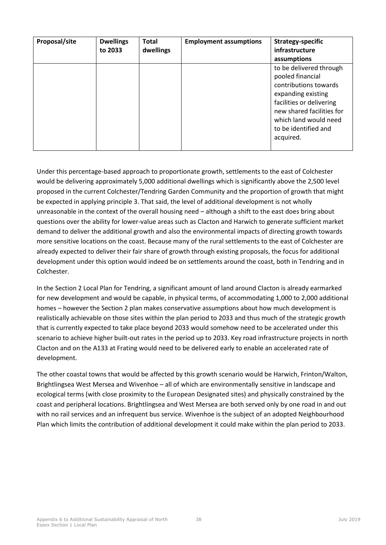| Proposal/site | <b>Dwellings</b><br>to 2033 | <b>Total</b><br>dwellings | <b>Employment assumptions</b> | <b>Strategy-specific</b><br>infrastructure                                                                                                                                                                        |
|---------------|-----------------------------|---------------------------|-------------------------------|-------------------------------------------------------------------------------------------------------------------------------------------------------------------------------------------------------------------|
|               |                             |                           |                               | assumptions                                                                                                                                                                                                       |
|               |                             |                           |                               | to be delivered through<br>pooled financial<br>contributions towards<br>expanding existing<br>facilities or delivering<br>new shared facilities for<br>which land would need<br>to be identified and<br>acquired. |

Under this percentage-based approach to proportionate growth, settlements to the east of Colchester would be delivering approximately 5,000 additional dwellings which is significantly above the 2,500 level proposed in the current Colchester/Tendring Garden Community and the proportion of growth that might be expected in applying principle 3. That said, the level of additional development is not wholly unreasonable in the context of the overall housing need – although a shift to the east does bring about questions over the ability for lower-value areas such as Clacton and Harwich to generate sufficient market demand to deliver the additional growth and also the environmental impacts of directing growth towards more sensitive locations on the coast. Because many of the rural settlements to the east of Colchester are already expected to deliver their fair share of growth through existing proposals, the focus for additional development under this option would indeed be on settlements around the coast, both in Tendring and in Colchester.

In the Section 2 Local Plan for Tendring, a significant amount of land around Clacton is already earmarked for new development and would be capable, in physical terms, of accommodating 1,000 to 2,000 additional homes – however the Section 2 plan makes conservative assumptions about how much development is realistically achievable on those sites within the plan period to 2033 and thus much of the strategic growth that is currently expected to take place beyond 2033 would somehow need to be accelerated under this scenario to achieve higher built-out rates in the period up to 2033. Key road infrastructure projects in north Clacton and on the A133 at Frating would need to be delivered early to enable an accelerated rate of development.

The other coastal towns that would be affected by this growth scenario would be Harwich, Frinton/Walton, Brightlingsea West Mersea and Wivenhoe – all of which are environmentally sensitive in landscape and ecological terms (with close proximity to the European Designated sites) and physically constrained by the coast and peripheral locations. Brightlingsea and West Mersea are both served only by one road in and out with no rail services and an infrequent bus service. Wivenhoe is the subject of an adopted Neighbourhood Plan which limits the contribution of additional development it could make within the plan period to 2033.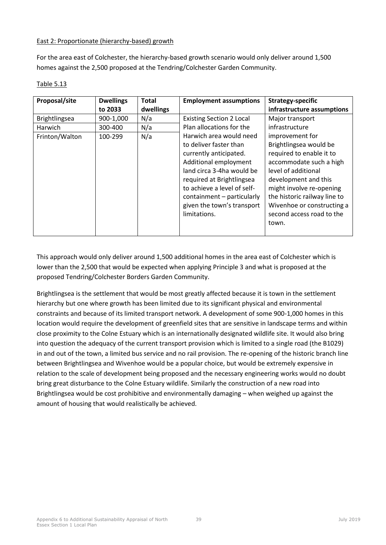## East 2: Proportionate (hierarchy-based) growth

For the area east of Colchester, the hierarchy-based growth scenario would only deliver around 1,500 homes against the 2,500 proposed at the Tendring/Colchester Garden Community.

| Proposal/site  | <b>Dwellings</b> | <b>Total</b> | <b>Employment assumptions</b>   | Strategy-specific            |
|----------------|------------------|--------------|---------------------------------|------------------------------|
|                | to 2033          | dwellings    |                                 | infrastructure assumptions   |
| Brightlingsea  | 900-1,000        | N/a          | <b>Existing Section 2 Local</b> | Major transport              |
| Harwich        | 300-400          | N/a          | Plan allocations for the        | infrastructure               |
| Frinton/Walton | 100-299          | N/a          | Harwich area would need         | improvement for              |
|                |                  |              | to deliver faster than          | Brightlingsea would be       |
|                |                  |              | currently anticipated.          | required to enable it to     |
|                |                  |              | Additional employment           | accommodate such a high      |
|                |                  |              | land circa 3-4ha would be       | level of additional          |
|                |                  |              | required at Brightlingsea       | development and this         |
|                |                  |              | to achieve a level of self-     | might involve re-opening     |
|                |                  |              | containment - particularly      | the historic railway line to |
|                |                  |              | given the town's transport      | Wivenhoe or constructing a   |
|                |                  |              | limitations.                    | second access road to the    |
|                |                  |              |                                 | town.                        |
|                |                  |              |                                 |                              |

## Table 5.13

This approach would only deliver around 1,500 additional homes in the area east of Colchester which is lower than the 2,500 that would be expected when applying Principle 3 and what is proposed at the proposed Tendring/Colchester Borders Garden Community.

Brightlingsea is the settlement that would be most greatly affected because it is town in the settlement hierarchy but one where growth has been limited due to its significant physical and environmental constraints and because of its limited transport network. A development of some 900-1,000 homes in this location would require the development of greenfield sites that are sensitive in landscape terms and within close proximity to the Colne Estuary which is an internationally designated wildlife site. It would also bring into question the adequacy of the current transport provision which is limited to a single road (the B1029) in and out of the town, a limited bus service and no rail provision. The re-opening of the historic branch line between Brightlingsea and Wivenhoe would be a popular choice, but would be extremely expensive in relation to the scale of development being proposed and the necessary engineering works would no doubt bring great disturbance to the Colne Estuary wildlife. Similarly the construction of a new road into Brightlingsea would be cost prohibitive and environmentally damaging – when weighed up against the amount of housing that would realistically be achieved.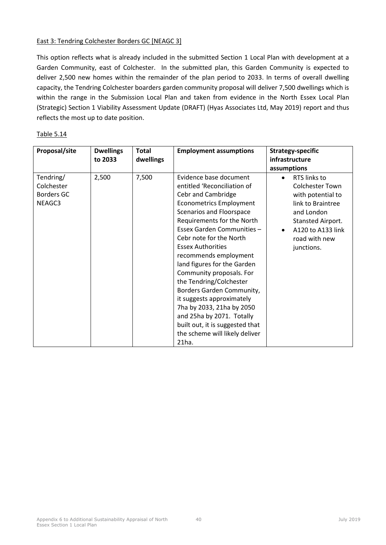### East 3: Tendring Colchester Borders GC [NEAGC 3]

This option reflects what is already included in the submitted Section 1 Local Plan with development at a Garden Community, east of Colchester. In the submitted plan, this Garden Community is expected to deliver 2,500 new homes within the remainder of the plan period to 2033. In terms of overall dwelling capacity, the Tendring Colchester boarders garden community proposal will deliver 7,500 dwellings which is within the range in the Submission Local Plan and taken from evidence in the North Essex Local Plan (Strategic) Section 1 Viability Assessment Update (DRAFT) (Hyas Associates Ltd, May 2019) report and thus reflects the most up to date position.

| Proposal/site                                   | <b>Dwellings</b><br>to 2033 | <b>Total</b><br>dwellings | <b>Employment assumptions</b>                                                                                                                                                                                                                                                                                                                                                                                                                                                                                                                                                 | <b>Strategy-specific</b><br>infrastructure<br>assumptions                                                                                                                            |
|-------------------------------------------------|-----------------------------|---------------------------|-------------------------------------------------------------------------------------------------------------------------------------------------------------------------------------------------------------------------------------------------------------------------------------------------------------------------------------------------------------------------------------------------------------------------------------------------------------------------------------------------------------------------------------------------------------------------------|--------------------------------------------------------------------------------------------------------------------------------------------------------------------------------------|
| Tendring/<br>Colchester<br>Borders GC<br>NEAGC3 | 2,500                       | 7,500                     | Evidence base document<br>entitled 'Reconciliation of<br>Cebr and Cambridge<br><b>Econometrics Employment</b><br>Scenarios and Floorspace<br>Requirements for the North<br>Essex Garden Communities -<br>Cebr note for the North<br><b>Essex Authorities</b><br>recommends employment<br>land figures for the Garden<br>Community proposals. For<br>the Tendring/Colchester<br>Borders Garden Community,<br>it suggests approximately<br>7ha by 2033, 21ha by 2050<br>and 25ha by 2071. Totally<br>built out, it is suggested that<br>the scheme will likely deliver<br>21ha. | RTS links to<br>$\bullet$<br><b>Colchester Town</b><br>with potential to<br>link to Braintree<br>and London<br>Stansted Airport.<br>A120 to A133 link<br>road with new<br>junctions. |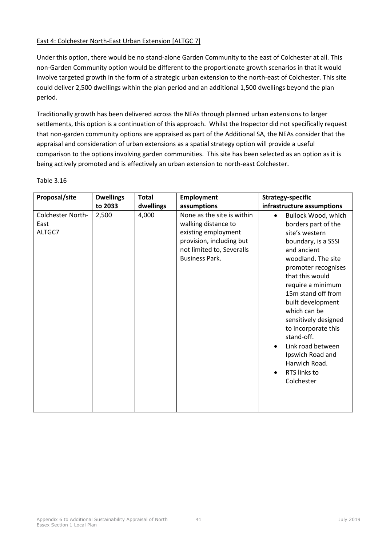## East 4: Colchester North-East Urban Extension [ALTGC 7]

Under this option, there would be no stand-alone Garden Community to the east of Colchester at all. This non-Garden Community option would be different to the proportionate growth scenarios in that it would involve targeted growth in the form of a strategic urban extension to the north-east of Colchester. This site could deliver 2,500 dwellings within the plan period and an additional 1,500 dwellings beyond the plan period.

Traditionally growth has been delivered across the NEAs through planned urban extensions to larger settlements, this option is a continuation of this approach. Whilst the Inspector did not specifically request that non-garden community options are appraised as part of the Additional SA, the NEAs consider that the appraisal and consideration of urban extensions as a spatial strategy option will provide a useful comparison to the options involving garden communities. This site has been selected as an option as it is being actively promoted and is effectively an urban extension to north-east Colchester.

| Proposal/site                       | <b>Dwellings</b> | <b>Total</b> | <b>Employment</b>                                                                                                                                          | <b>Strategy-specific</b>                                                                                                                                                                                                                                                                                                                                                                                                                       |
|-------------------------------------|------------------|--------------|------------------------------------------------------------------------------------------------------------------------------------------------------------|------------------------------------------------------------------------------------------------------------------------------------------------------------------------------------------------------------------------------------------------------------------------------------------------------------------------------------------------------------------------------------------------------------------------------------------------|
|                                     | to 2033          | dwellings    | assumptions                                                                                                                                                | infrastructure assumptions                                                                                                                                                                                                                                                                                                                                                                                                                     |
| Colchester North-<br>East<br>ALTGC7 | 2,500            | 4,000        | None as the site is within<br>walking distance to<br>existing employment<br>provision, including but<br>not limited to, Severalls<br><b>Business Park.</b> | Bullock Wood, which<br>$\bullet$<br>borders part of the<br>site's western<br>boundary, is a SSSI<br>and ancient<br>woodland. The site<br>promoter recognises<br>that this would<br>require a minimum<br>15m stand off from<br>built development<br>which can be<br>sensitively designed<br>to incorporate this<br>stand-off.<br>Link road between<br>$\bullet$<br>Ipswich Road and<br>Harwich Road.<br>RTS links to<br>$\bullet$<br>Colchester |

Table 3.16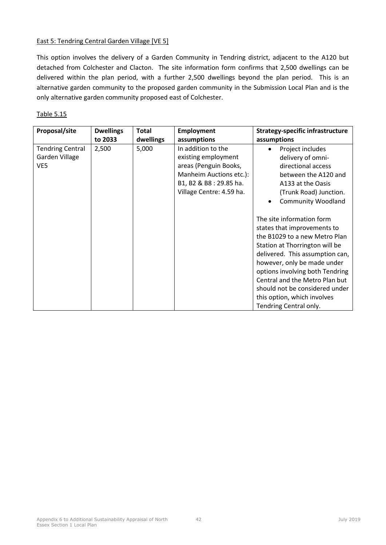#### East 5: Tendring Central Garden Village [VE 5]

This option involves the delivery of a Garden Community in Tendring district, adjacent to the A120 but detached from Colchester and Clacton. The site information form confirms that 2,500 dwellings can be delivered within the plan period, with a further 2,500 dwellings beyond the plan period. This is an alternative garden community to the proposed garden community in the Submission Local Plan and is the only alternative garden community proposed east of Colchester.

| Proposal/site                                    | <b>Dwellings</b> | <b>Total</b> | <b>Employment</b>                                                                                                                                   | <b>Strategy-specific infrastructure</b>                                                                                                                                                                                                                                                                                                                                                                                                                                                                                          |
|--------------------------------------------------|------------------|--------------|-----------------------------------------------------------------------------------------------------------------------------------------------------|----------------------------------------------------------------------------------------------------------------------------------------------------------------------------------------------------------------------------------------------------------------------------------------------------------------------------------------------------------------------------------------------------------------------------------------------------------------------------------------------------------------------------------|
|                                                  | to 2033          | dwellings    | assumptions                                                                                                                                         | assumptions                                                                                                                                                                                                                                                                                                                                                                                                                                                                                                                      |
| <b>Tendring Central</b><br>Garden Village<br>VE5 | 2,500            | 5,000        | In addition to the<br>existing employment<br>areas (Penguin Books,<br>Manheim Auctions etc.):<br>B1, B2 & B8: 29.85 ha.<br>Village Centre: 4.59 ha. | Project includes<br>delivery of omni-<br>directional access<br>between the A120 and<br>A133 at the Oasis<br>(Trunk Road) Junction.<br><b>Community Woodland</b><br>The site information form<br>states that improvements to<br>the B1029 to a new Metro Plan<br>Station at Thorrington will be<br>delivered. This assumption can,<br>however, only be made under<br>options involving both Tendring<br>Central and the Metro Plan but<br>should not be considered under<br>this option, which involves<br>Tendring Central only. |